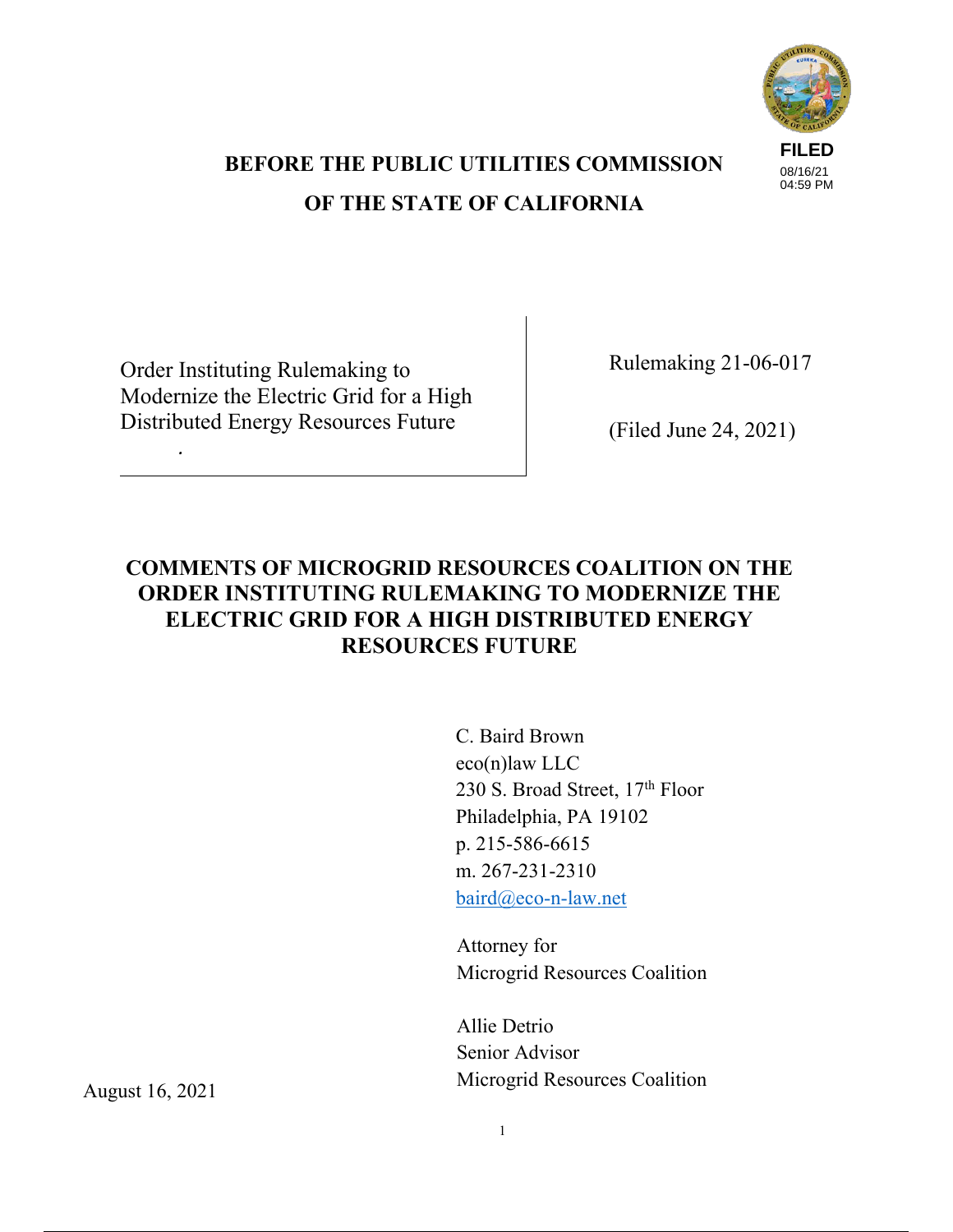

# **BEFORE THE PUBLIC UTILITIES COMMISSION OF THE STATE OF CALIFORNIA**

Order Instituting Rulemaking to Modernize the Electric Grid for a High Distributed Energy Resources Future

*.*

Rulemaking 21-06-017

(Filed June 24, 2021)

## **COMMENTS OF MICROGRID RESOURCES COALITION ON THE ORDER INSTITUTING RULEMAKING TO MODERNIZE THE ELECTRIC GRID FOR A HIGH DISTRIBUTED ENERGY RESOURCES FUTURE**

C. Baird Brown eco(n)law LLC 230 S. Broad Street,  $17<sup>th</sup>$  Floor Philadelphia, PA 19102 p. 215-586-6615 m. 267-231-2310 baird@eco-n-law.net

Attorney for Microgrid Resources Coalition

Allie Detrio Senior Advisor Microgrid Resources Coalition

August 16, 2021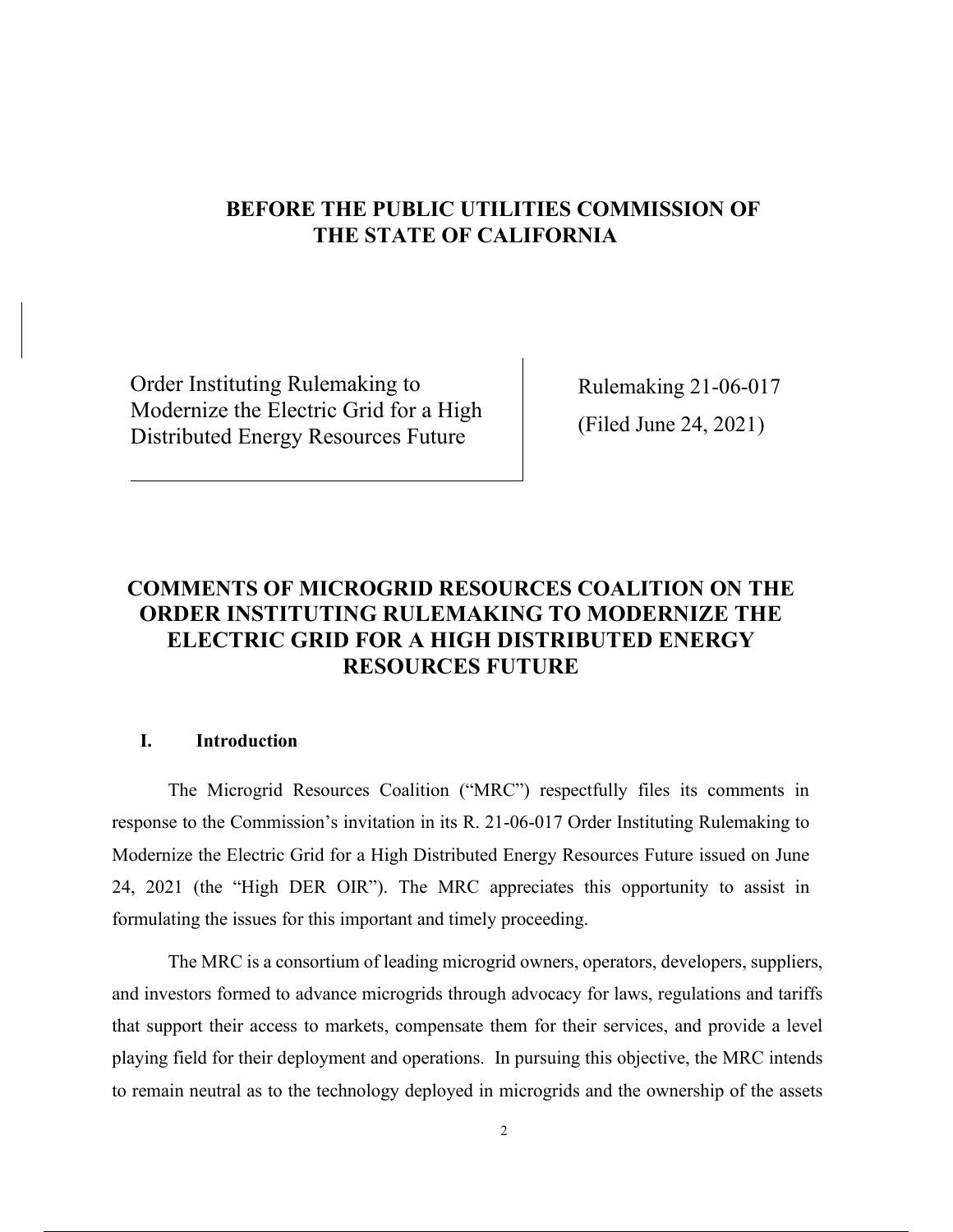## **BEFORE THE PUBLIC UTILITIES COMMISSION OF THE STATE OF CALIFORNIA**

Order Instituting Rulemaking to Modernize the Electric Grid for a High Distributed Energy Resources Future

Rulemaking 21-06-017 (Filed June 24, 2021)

## **COMMENTS OF MICROGRID RESOURCES COALITION ON THE ORDER INSTITUTING RULEMAKING TO MODERNIZE THE ELECTRIC GRID FOR A HIGH DISTRIBUTED ENERGY RESOURCES FUTURE**

### **I. Introduction**

The Microgrid Resources Coalition ("MRC") respectfully files its comments in response to the Commission's invitation in its R. 21-06-017 Order Instituting Rulemaking to Modernize the Electric Grid for a High Distributed Energy Resources Future issued on June 24, 2021 (the "High DER OIR"). The MRC appreciates this opportunity to assist in formulating the issues for this important and timely proceeding.

The MRC is a consortium of leading microgrid owners, operators, developers, suppliers, and investors formed to advance microgrids through advocacy for laws, regulations and tariffs that support their access to markets, compensate them for their services, and provide a level playing field for their deployment and operations. In pursuing this objective, the MRC intends to remain neutral as to the technology deployed in microgrids and the ownership of the assets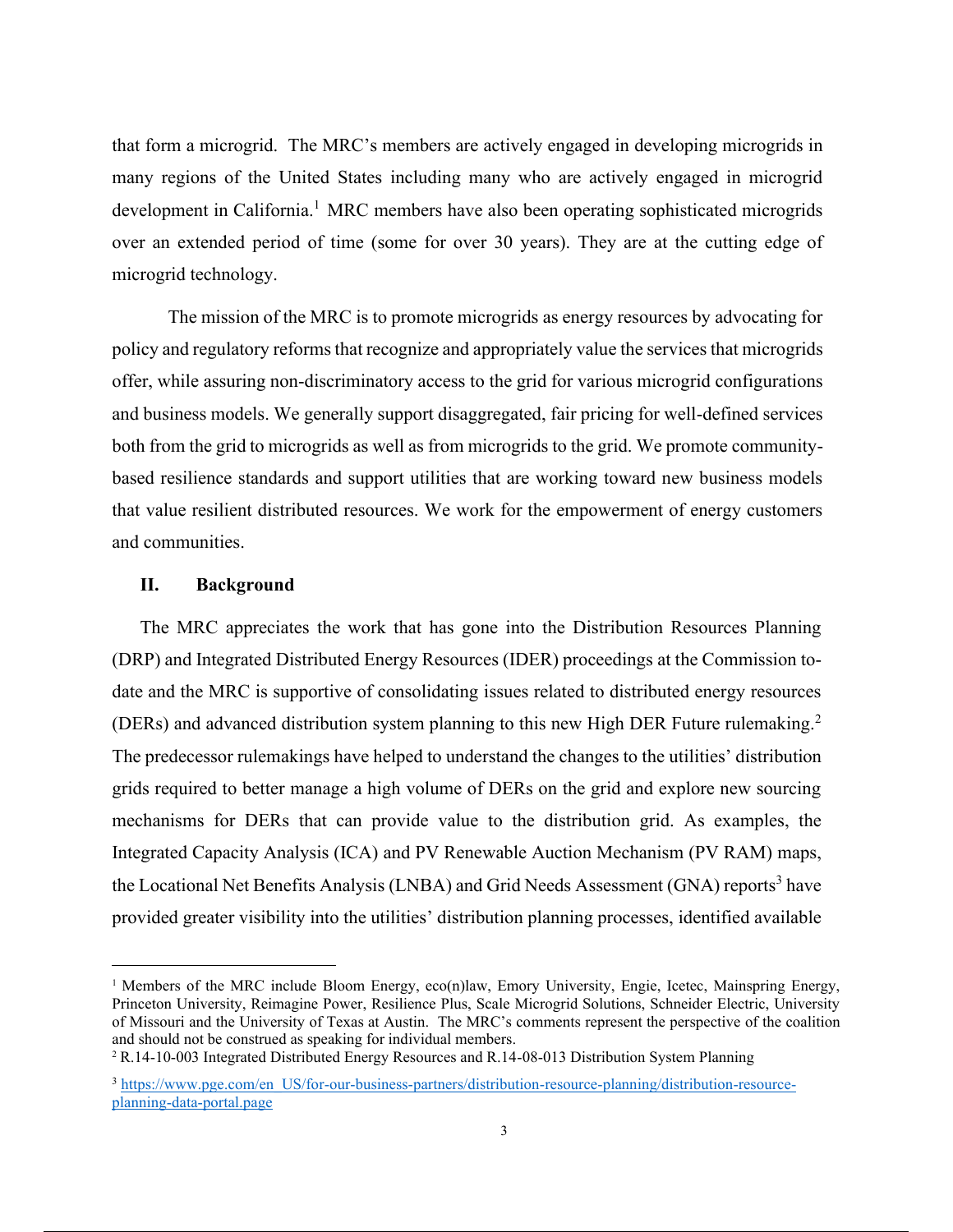that form a microgrid. The MRC's members are actively engaged in developing microgrids in many regions of the United States including many who are actively engaged in microgrid development in California.<sup>1</sup> MRC members have also been operating sophisticated microgrids over an extended period of time (some for over 30 years). They are at the cutting edge of microgrid technology.

The mission of the MRC is to promote microgrids as energy resources by advocating for policy and regulatory reforms that recognize and appropriately value the services that microgrids offer, while assuring non-discriminatory access to the grid for various microgrid configurations and business models. We generally support disaggregated, fair pricing for well-defined services both from the grid to microgrids as well as from microgrids to the grid. We promote communitybased resilience standards and support utilities that are working toward new business models that value resilient distributed resources. We work for the empowerment of energy customers and communities.

#### **II. Background**

The MRC appreciates the work that has gone into the Distribution Resources Planning (DRP) and Integrated Distributed Energy Resources (IDER) proceedings at the Commission todate and the MRC is supportive of consolidating issues related to distributed energy resources (DERs) and advanced distribution system planning to this new High DER Future rulemaking.<sup>2</sup> The predecessor rulemakings have helped to understand the changes to the utilities' distribution grids required to better manage a high volume of DERs on the grid and explore new sourcing mechanisms for DERs that can provide value to the distribution grid. As examples, the Integrated Capacity Analysis (ICA) and PV Renewable Auction Mechanism (PV RAM) maps, the Locational Net Benefits Analysis (LNBA) and Grid Needs Assessment (GNA) reports<sup>3</sup> have provided greater visibility into the utilities' distribution planning processes, identified available

<sup>&</sup>lt;sup>1</sup> Members of the MRC include Bloom Energy, eco(n)law, Emory University, Engie, Icetec, Mainspring Energy, Princeton University, Reimagine Power, Resilience Plus, Scale Microgrid Solutions, Schneider Electric, University of Missouri and the University of Texas at Austin. The MRC's comments represent the perspective of the coalition and should not be construed as speaking for individual members.

<sup>2</sup> R.14-10-003 Integrated Distributed Energy Resources and R.14-08-013 Distribution System Planning

<sup>3</sup> https://www.pge.com/en\_US/for-our-business-partners/distribution-resource-planning/distribution-resourceplanning-data-portal.page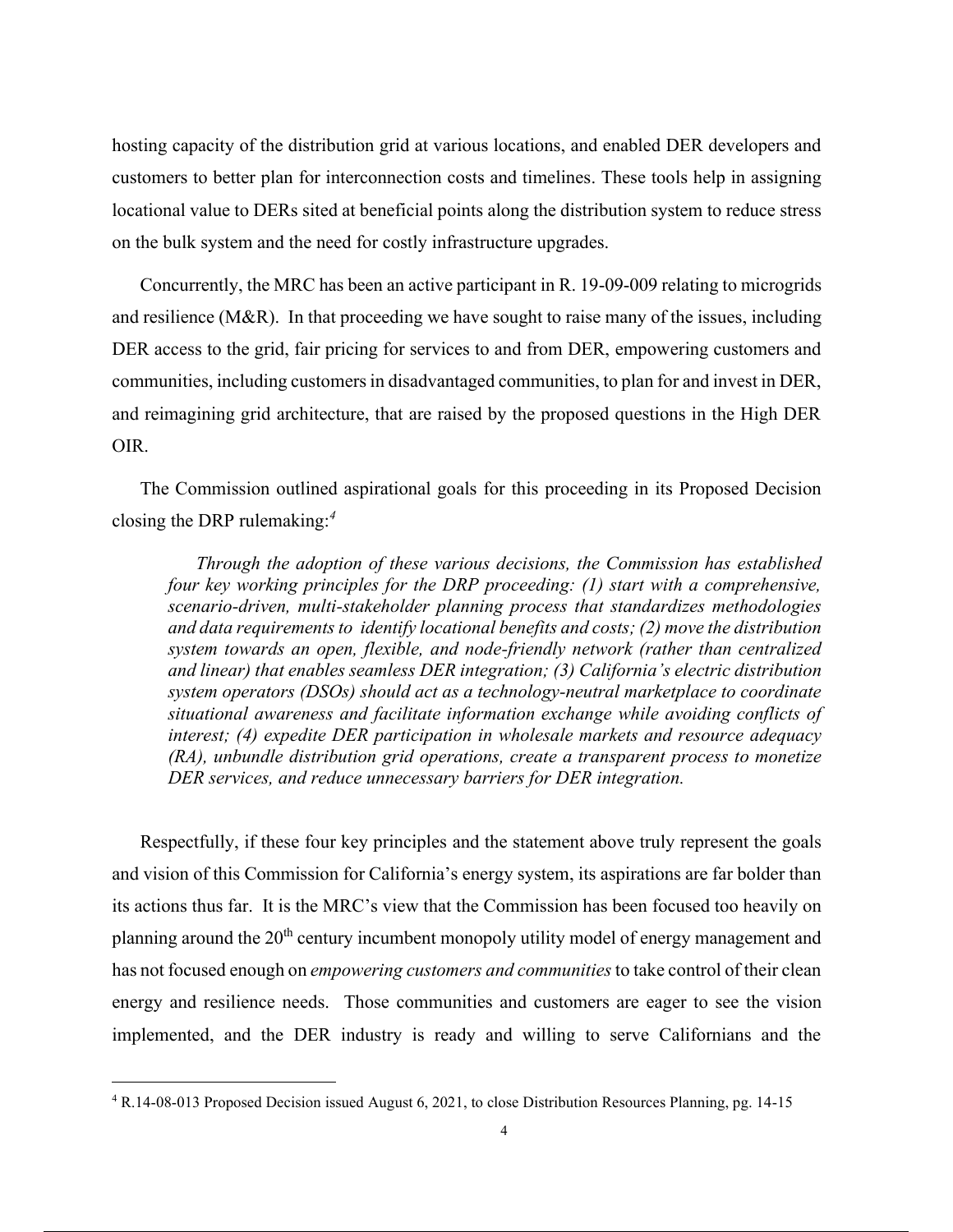hosting capacity of the distribution grid at various locations, and enabled DER developers and customers to better plan for interconnection costs and timelines. These tools help in assigning locational value to DERs sited at beneficial points along the distribution system to reduce stress on the bulk system and the need for costly infrastructure upgrades.

Concurrently, the MRC has been an active participant in R. 19-09-009 relating to microgrids and resilience (M&R). In that proceeding we have sought to raise many of the issues, including DER access to the grid, fair pricing for services to and from DER, empowering customers and communities, including customers in disadvantaged communities, to plan for and invest in DER, and reimagining grid architecture, that are raised by the proposed questions in the High DER OIR.

The Commission outlined aspirational goals for this proceeding in its Proposed Decision closing the DRP rulemaking: *4*

*Through the adoption of these various decisions, the Commission has established four key working principles for the DRP proceeding: (1) start with a comprehensive, scenario-driven, multi-stakeholder planning process that standardizes methodologies and data requirements to identify locational benefits and costs; (2) move the distribution system towards an open, flexible, and node-friendly network (rather than centralized and linear) that enables seamless DER integration; (3) California's electric distribution system operators (DSOs) should act as a technology-neutral marketplace to coordinate situational awareness and facilitate information exchange while avoiding conflicts of interest; (4) expedite DER participation in wholesale markets and resource adequacy (RA), unbundle distribution grid operations, create a transparent process to monetize DER services, and reduce unnecessary barriers for DER integration.*

Respectfully, if these four key principles and the statement above truly represent the goals and vision of this Commission for California's energy system, its aspirations are far bolder than its actions thus far. It is the MRC's view that the Commission has been focused too heavily on planning around the  $20<sup>th</sup>$  century incumbent monopoly utility model of energy management and has not focused enough on *empowering customers and communities* to take control of their clean energy and resilience needs. Those communities and customers are eager to see the vision implemented, and the DER industry is ready and willing to serve Californians and the

<sup>4</sup> R.14-08-013 Proposed Decision issued August 6, 2021, to close Distribution Resources Planning, pg. 14-15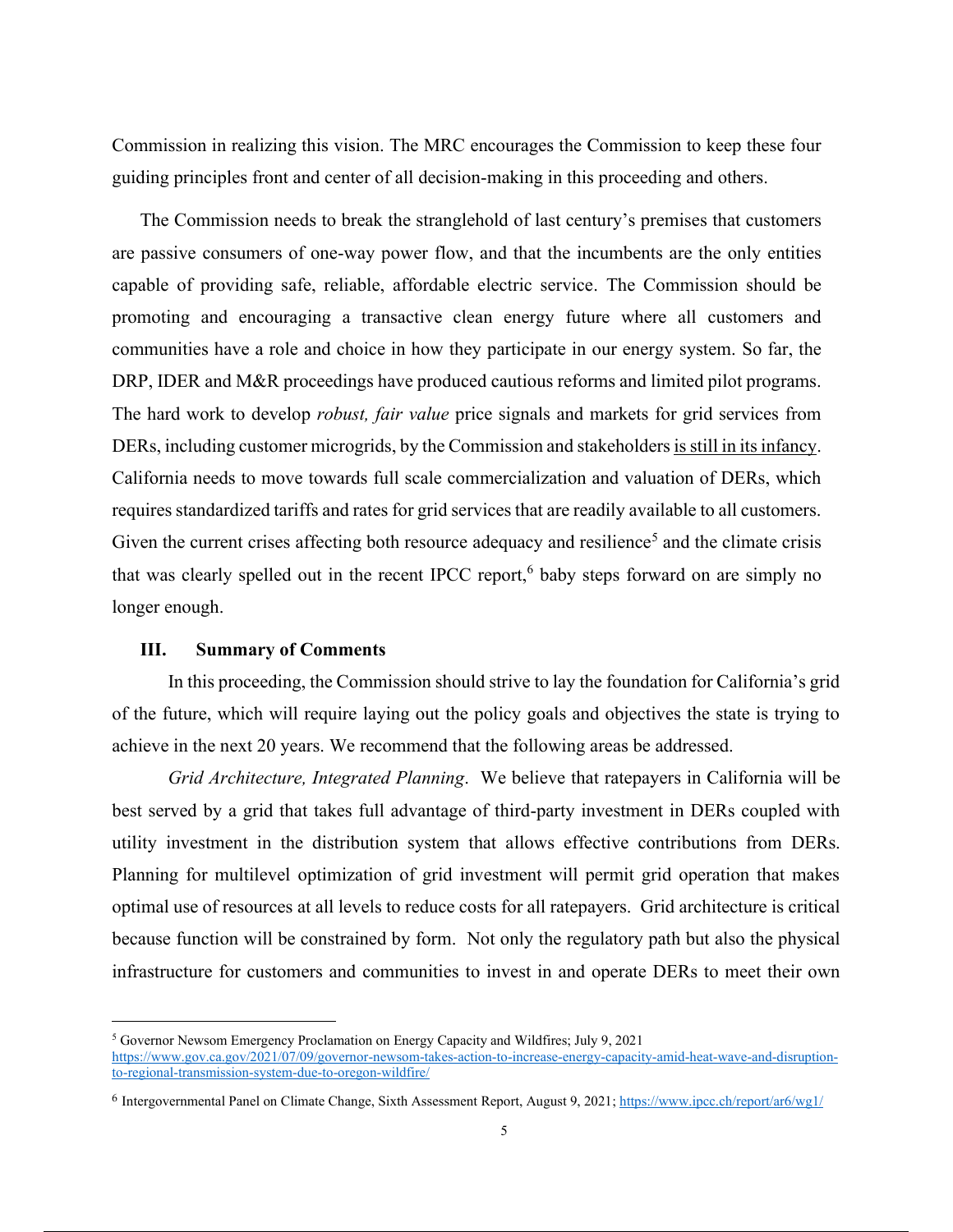Commission in realizing this vision. The MRC encourages the Commission to keep these four guiding principles front and center of all decision-making in this proceeding and others.

The Commission needs to break the stranglehold of last century's premises that customers are passive consumers of one-way power flow, and that the incumbents are the only entities capable of providing safe, reliable, affordable electric service. The Commission should be promoting and encouraging a transactive clean energy future where all customers and communities have a role and choice in how they participate in our energy system. So far, the DRP, IDER and M&R proceedings have produced cautious reforms and limited pilot programs. The hard work to develop *robust, fair value* price signals and markets for grid services from DERs, including customer microgrids, by the Commission and stakeholders is still in its infancy. California needs to move towards full scale commercialization and valuation of DERs, which requires standardized tariffs and rates for grid services that are readily available to all customers. Given the current crises affecting both resource adequacy and resilience<sup>5</sup> and the climate crisis that was clearly spelled out in the recent IPCC report,<sup>6</sup> baby steps forward on are simply no longer enough.

#### **III. Summary of Comments**

In this proceeding, the Commission should strive to lay the foundation for California's grid of the future, which will require laying out the policy goals and objectives the state is trying to achieve in the next 20 years. We recommend that the following areas be addressed.

*Grid Architecture, Integrated Planning*. We believe that ratepayers in California will be best served by a grid that takes full advantage of third-party investment in DERs coupled with utility investment in the distribution system that allows effective contributions from DERs. Planning for multilevel optimization of grid investment will permit grid operation that makes optimal use of resources at all levels to reduce costs for all ratepayers. Grid architecture is critical because function will be constrained by form. Not only the regulatory path but also the physical infrastructure for customers and communities to invest in and operate DERs to meet their own

<sup>5</sup> Governor Newsom Emergency Proclamation on Energy Capacity and Wildfires; July 9, 2021 https://www.gov.ca.gov/2021/07/09/governor-newsom-takes-action-to-increase-energy-capacity-amid-heat-wave-and-disruptionto-regional-transmission-system-due-to-oregon-wildfire/

<sup>6</sup> Intergovernmental Panel on Climate Change, Sixth Assessment Report, August 9, 2021; https://www.ipcc.ch/report/ar6/wg1/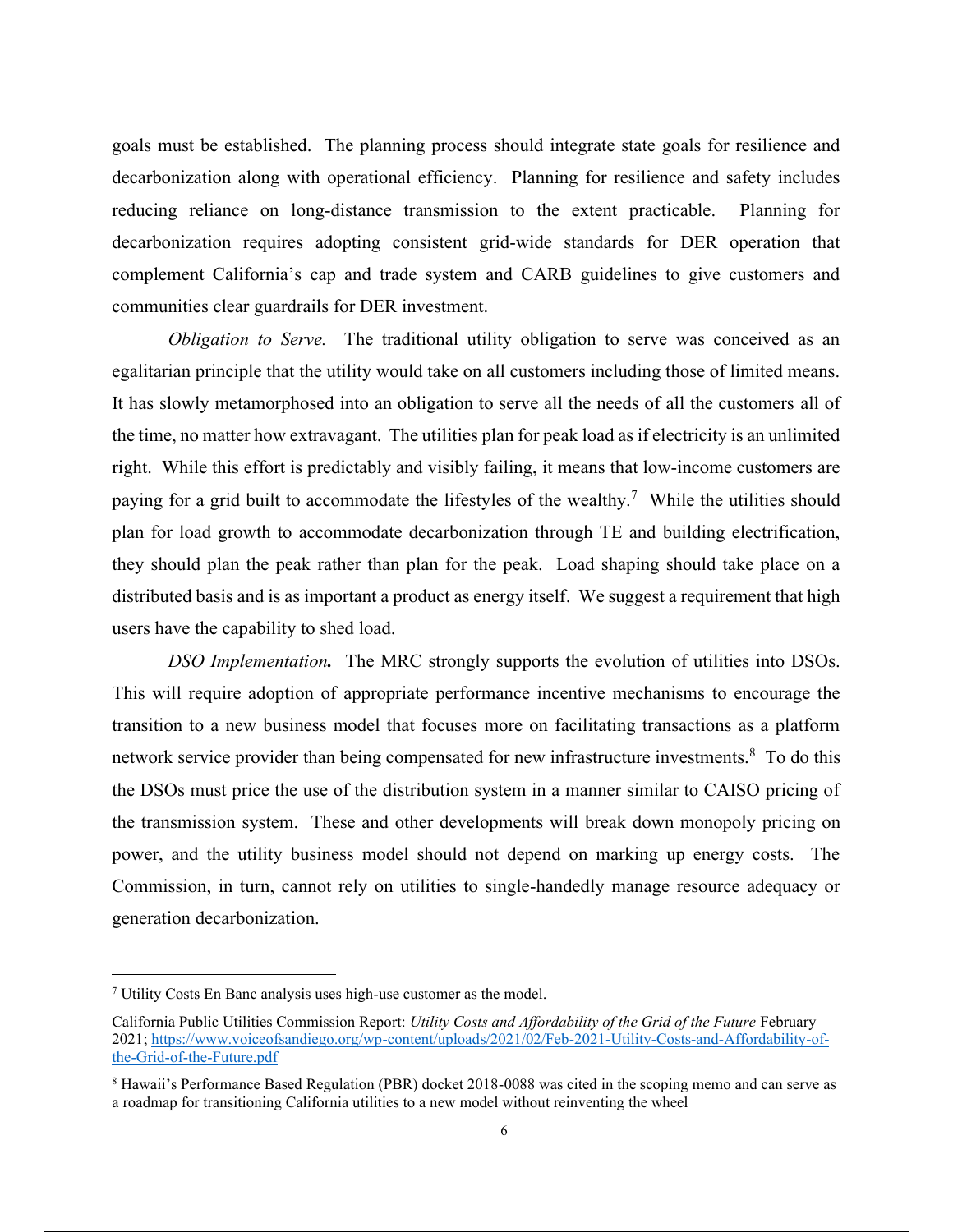goals must be established. The planning process should integrate state goals for resilience and decarbonization along with operational efficiency. Planning for resilience and safety includes reducing reliance on long-distance transmission to the extent practicable. Planning for decarbonization requires adopting consistent grid-wide standards for DER operation that complement California's cap and trade system and CARB guidelines to give customers and communities clear guardrails for DER investment.

*Obligation to Serve.* The traditional utility obligation to serve was conceived as an egalitarian principle that the utility would take on all customers including those of limited means. It has slowly metamorphosed into an obligation to serve all the needs of all the customers all of the time, no matter how extravagant. The utilities plan for peak load as if electricity is an unlimited right. While this effort is predictably and visibly failing, it means that low-income customers are paying for a grid built to accommodate the lifestyles of the wealthy.<sup>7</sup> While the utilities should plan for load growth to accommodate decarbonization through TE and building electrification, they should plan the peak rather than plan for the peak. Load shaping should take place on a distributed basis and is as important a product as energy itself. We suggest a requirement that high users have the capability to shed load.

*DSO Implementation.* The MRC strongly supports the evolution of utilities into DSOs. This will require adoption of appropriate performance incentive mechanisms to encourage the transition to a new business model that focuses more on facilitating transactions as a platform network service provider than being compensated for new infrastructure investments.<sup>8</sup> To do this the DSOs must price the use of the distribution system in a manner similar to CAISO pricing of the transmission system. These and other developments will break down monopoly pricing on power, and the utility business model should not depend on marking up energy costs. The Commission, in turn, cannot rely on utilities to single-handedly manage resource adequacy or generation decarbonization.

<sup>7</sup> Utility Costs En Banc analysis uses high-use customer as the model.

California Public Utilities Commission Report: *Utility Costs and Affordability of the Grid of the Future* February 2021; https://www.voiceofsandiego.org/wp-content/uploads/2021/02/Feb-2021-Utility-Costs-and-Affordability-ofthe-Grid-of-the-Future.pdf

<sup>8</sup> Hawaii's Performance Based Regulation (PBR) docket 2018-0088 was cited in the scoping memo and can serve as a roadmap for transitioning California utilities to a new model without reinventing the wheel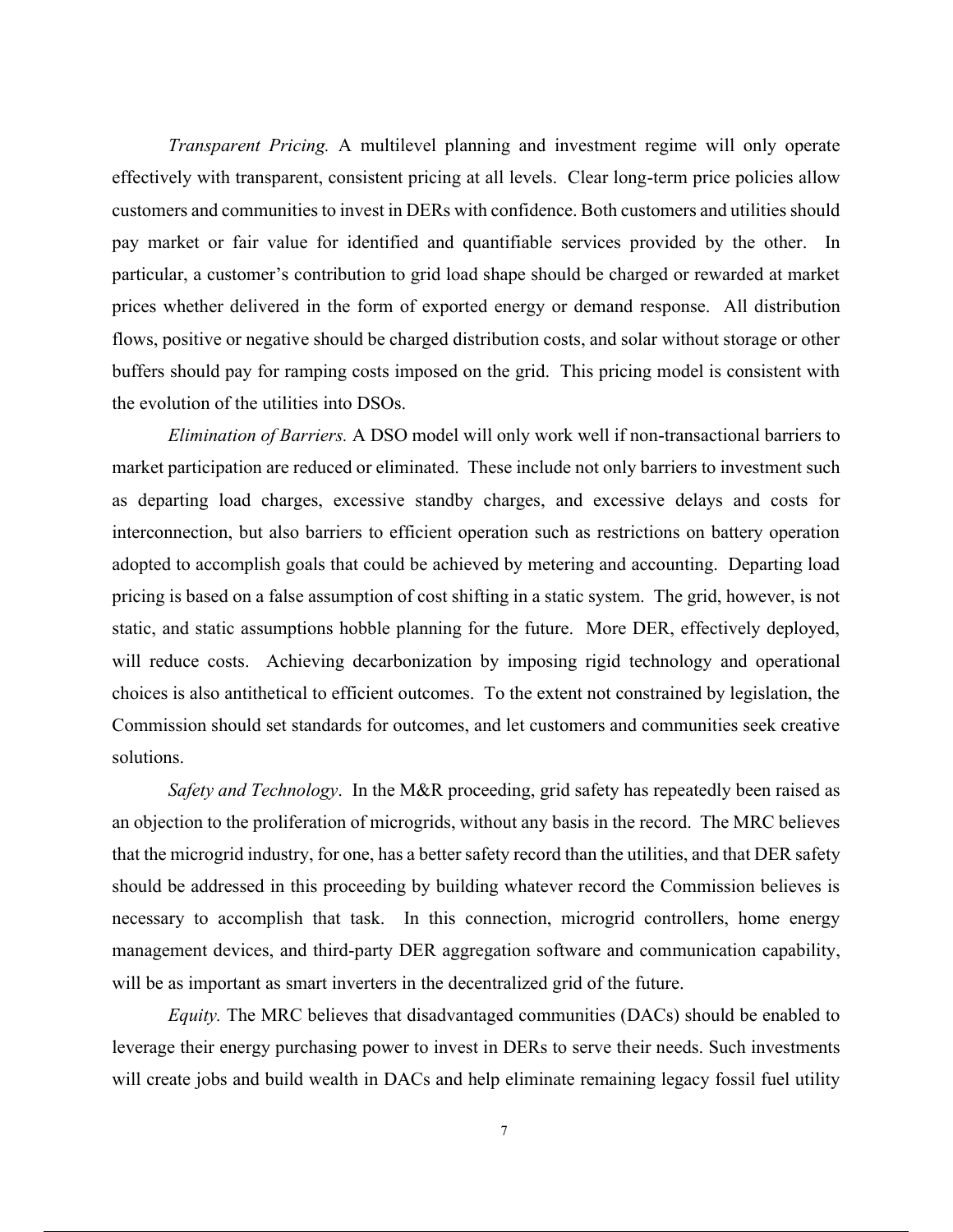*Transparent Pricing.* A multilevel planning and investment regime will only operate effectively with transparent, consistent pricing at all levels. Clear long-term price policies allow customers and communities to invest in DERs with confidence. Both customers and utilities should pay market or fair value for identified and quantifiable services provided by the other. In particular, a customer's contribution to grid load shape should be charged or rewarded at market prices whether delivered in the form of exported energy or demand response. All distribution flows, positive or negative should be charged distribution costs, and solar without storage or other buffers should pay for ramping costs imposed on the grid. This pricing model is consistent with the evolution of the utilities into DSOs.

*Elimination of Barriers.* A DSO model will only work well if non-transactional barriers to market participation are reduced or eliminated. These include not only barriers to investment such as departing load charges, excessive standby charges, and excessive delays and costs for interconnection, but also barriers to efficient operation such as restrictions on battery operation adopted to accomplish goals that could be achieved by metering and accounting. Departing load pricing is based on a false assumption of cost shifting in a static system. The grid, however, is not static, and static assumptions hobble planning for the future. More DER, effectively deployed, will reduce costs. Achieving decarbonization by imposing rigid technology and operational choices is also antithetical to efficient outcomes. To the extent not constrained by legislation, the Commission should set standards for outcomes, and let customers and communities seek creative solutions.

*Safety and Technology*. In the M&R proceeding, grid safety has repeatedly been raised as an objection to the proliferation of microgrids, without any basis in the record. The MRC believes that the microgrid industry, for one, has a better safety record than the utilities, and that DER safety should be addressed in this proceeding by building whatever record the Commission believes is necessary to accomplish that task. In this connection, microgrid controllers, home energy management devices, and third-party DER aggregation software and communication capability, will be as important as smart inverters in the decentralized grid of the future.

*Equity.* The MRC believes that disadvantaged communities (DACs) should be enabled to leverage their energy purchasing power to invest in DERs to serve their needs. Such investments will create jobs and build wealth in DACs and help eliminate remaining legacy fossil fuel utility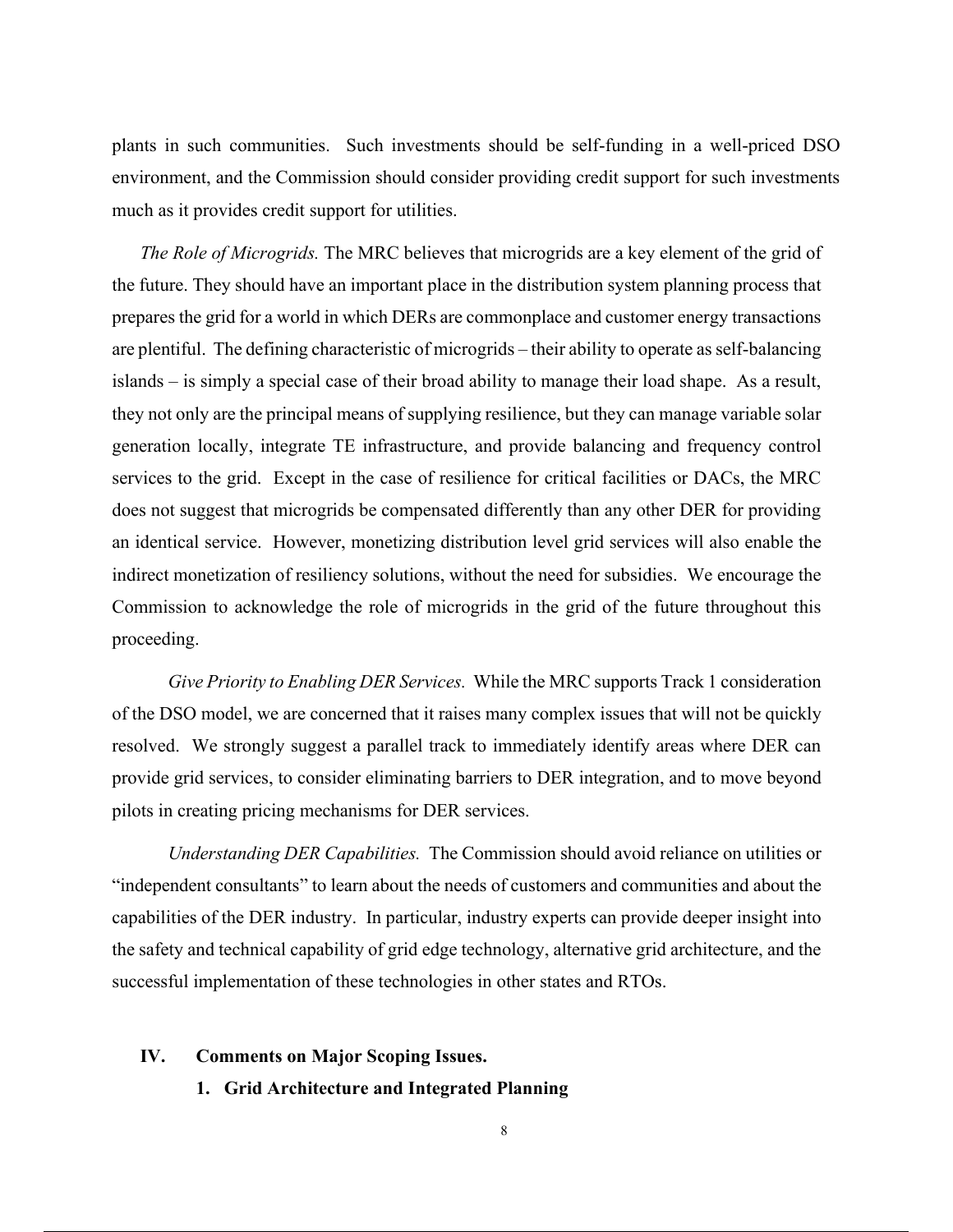plants in such communities. Such investments should be self-funding in a well-priced DSO environment, and the Commission should consider providing credit support for such investments much as it provides credit support for utilities.

*The Role of Microgrids.* The MRC believes that microgrids are a key element of the grid of the future. They should have an important place in the distribution system planning process that prepares the grid for a world in which DERs are commonplace and customer energy transactions are plentiful.The defining characteristic of microgrids – their ability to operate as self-balancing islands – is simply a special case of their broad ability to manage their load shape. As a result, they not only are the principal means of supplying resilience, but they can manage variable solar generation locally, integrate TE infrastructure, and provide balancing and frequency control services to the grid. Except in the case of resilience for critical facilities or DACs, the MRC does not suggest that microgrids be compensated differently than any other DER for providing an identical service. However, monetizing distribution level grid services will also enable the indirect monetization of resiliency solutions, without the need for subsidies. We encourage the Commission to acknowledge the role of microgrids in the grid of the future throughout this proceeding.

*Give Priority to Enabling DER Services.* While the MRC supports Track 1 consideration of the DSO model, we are concerned that it raises many complex issues that will not be quickly resolved. We strongly suggest a parallel track to immediately identify areas where DER can provide grid services, to consider eliminating barriers to DER integration, and to move beyond pilots in creating pricing mechanisms for DER services.

*Understanding DER Capabilities.* The Commission should avoid reliance on utilities or "independent consultants" to learn about the needs of customers and communities and about the capabilities of the DER industry. In particular, industry experts can provide deeper insight into the safety and technical capability of grid edge technology, alternative grid architecture, and the successful implementation of these technologies in other states and RTOs.

#### **IV. Comments on Major Scoping Issues.**

**1. Grid Architecture and Integrated Planning**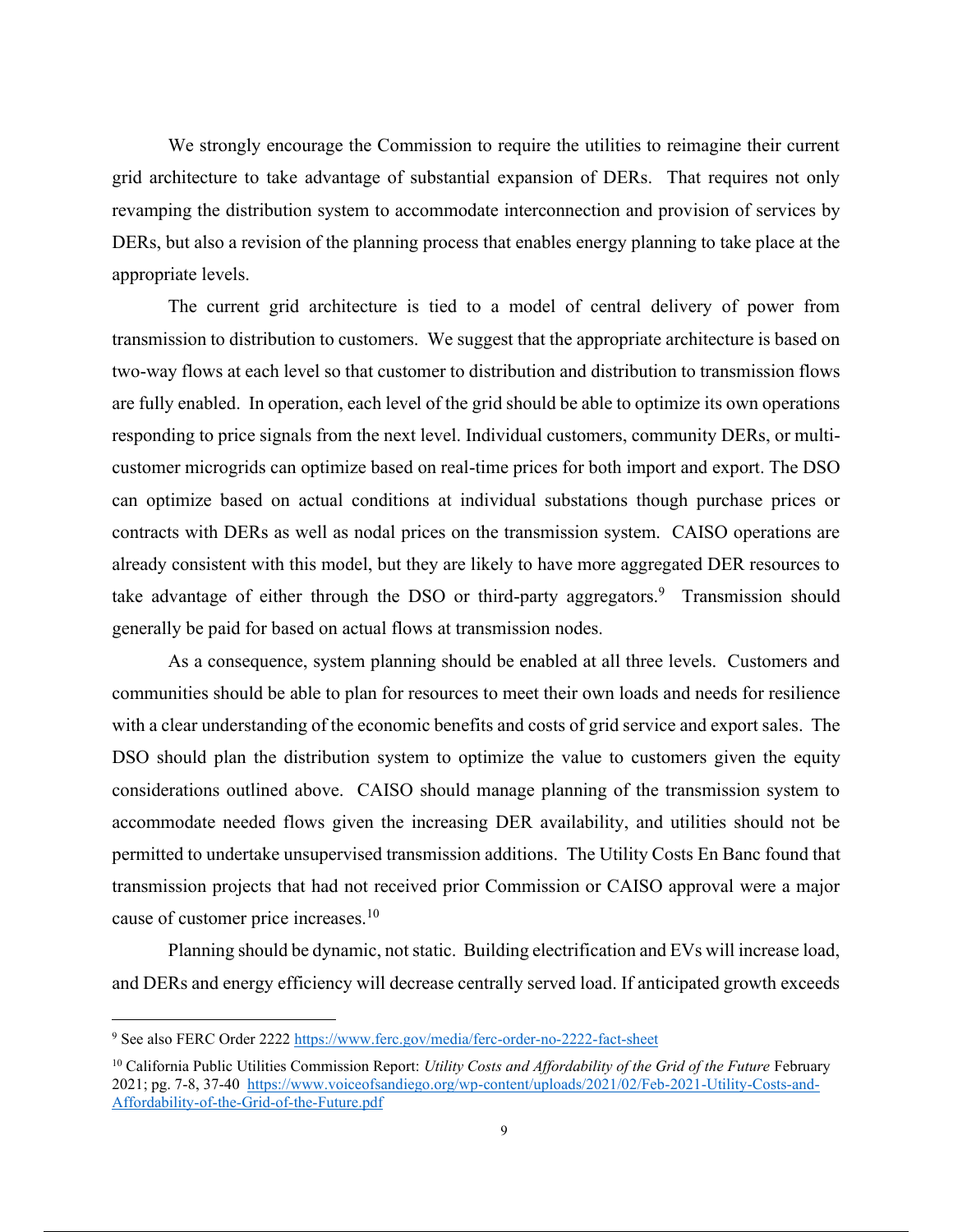We strongly encourage the Commission to require the utilities to reimagine their current grid architecture to take advantage of substantial expansion of DERs. That requires not only revamping the distribution system to accommodate interconnection and provision of services by DERs, but also a revision of the planning process that enables energy planning to take place at the appropriate levels.

The current grid architecture is tied to a model of central delivery of power from transmission to distribution to customers. We suggest that the appropriate architecture is based on two-way flows at each level so that customer to distribution and distribution to transmission flows are fully enabled. In operation, each level of the grid should be able to optimize its own operations responding to price signals from the next level. Individual customers, community DERs, or multicustomer microgrids can optimize based on real-time prices for both import and export. The DSO can optimize based on actual conditions at individual substations though purchase prices or contracts with DERs as well as nodal prices on the transmission system. CAISO operations are already consistent with this model, but they are likely to have more aggregated DER resources to take advantage of either through the DSO or third-party aggregators.<sup>9</sup> Transmission should generally be paid for based on actual flows at transmission nodes.

As a consequence, system planning should be enabled at all three levels. Customers and communities should be able to plan for resources to meet their own loads and needs for resilience with a clear understanding of the economic benefits and costs of grid service and export sales. The DSO should plan the distribution system to optimize the value to customers given the equity considerations outlined above. CAISO should manage planning of the transmission system to accommodate needed flows given the increasing DER availability, and utilities should not be permitted to undertake unsupervised transmission additions. The Utility Costs En Banc found that transmission projects that had not received prior Commission or CAISO approval were a major cause of customer price increases.<sup>10</sup>

Planning should be dynamic, not static. Building electrification and EVs will increase load, and DERs and energy efficiency will decrease centrally served load. If anticipated growth exceeds

<sup>9</sup> See also FERC Order 2222 https://www.ferc.gov/media/ferc-order-no-2222-fact-sheet

<sup>&</sup>lt;sup>10</sup> California Public Utilities Commission Report: *Utility Costs and Affordability of the Grid of the Future* February 2021; pg. 7-8, 37-40 https://www.voiceofsandiego.org/wp-content/uploads/2021/02/Feb-2021-Utility-Costs-and-Affordability-of-the-Grid-of-the-Future.pdf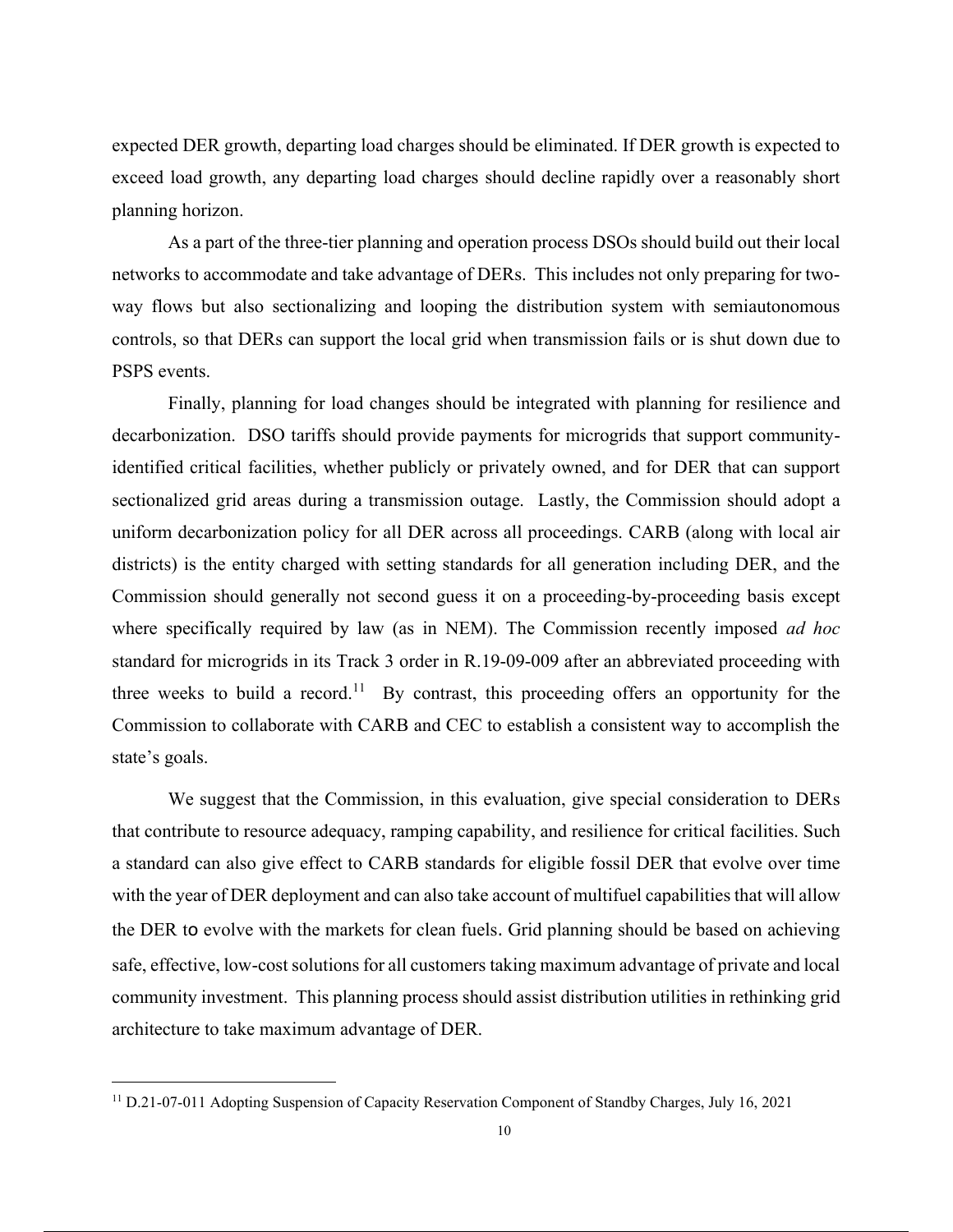expected DER growth, departing load charges should be eliminated. If DER growth is expected to exceed load growth, any departing load charges should decline rapidly over a reasonably short planning horizon.

As a part of the three-tier planning and operation process DSOs should build out their local networks to accommodate and take advantage of DERs. This includes not only preparing for twoway flows but also sectionalizing and looping the distribution system with semiautonomous controls, so that DERs can support the local grid when transmission fails or is shut down due to PSPS events.

Finally, planning for load changes should be integrated with planning for resilience and decarbonization. DSO tariffs should provide payments for microgrids that support communityidentified critical facilities, whether publicly or privately owned, and for DER that can support sectionalized grid areas during a transmission outage. Lastly, the Commission should adopt a uniform decarbonization policy for all DER across all proceedings. CARB (along with local air districts) is the entity charged with setting standards for all generation including DER, and the Commission should generally not second guess it on a proceeding-by-proceeding basis except where specifically required by law (as in NEM). The Commission recently imposed *ad hoc* standard for microgrids in its Track 3 order in R.19-09-009 after an abbreviated proceeding with three weeks to build a record.<sup>11</sup> By contrast, this proceeding offers an opportunity for the Commission to collaborate with CARB and CEC to establish a consistent way to accomplish the state's goals.

We suggest that the Commission, in this evaluation, give special consideration to DERs that contribute to resource adequacy, ramping capability, and resilience for critical facilities. Such a standard can also give effect to CARB standards for eligible fossil DER that evolve over time with the year of DER deployment and can also take account of multifuel capabilities that will allow the DER to evolve with the markets for clean fuels. Grid planning should be based on achieving safe, effective, low-cost solutions for all customers taking maximum advantage of private and local community investment. This planning process should assist distribution utilities in rethinking grid architecture to take maximum advantage of DER.

<sup>&</sup>lt;sup>11</sup> D.21-07-011 Adopting Suspension of Capacity Reservation Component of Standby Charges, July 16, 2021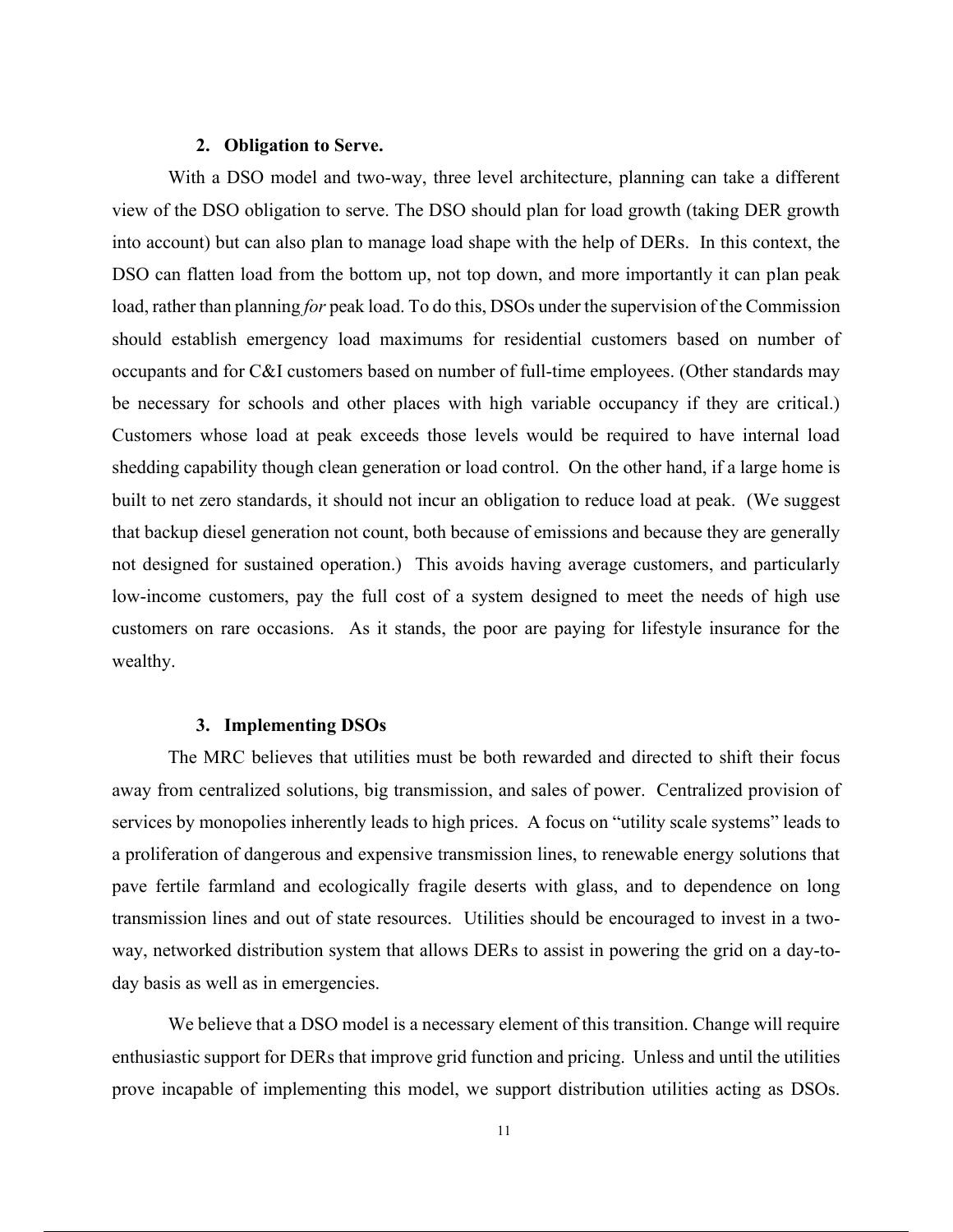#### **2. Obligation to Serve.**

With a DSO model and two-way, three level architecture, planning can take a different view of the DSO obligation to serve. The DSO should plan for load growth (taking DER growth into account) but can also plan to manage load shape with the help of DERs. In this context, the DSO can flatten load from the bottom up, not top down, and more importantly it can plan peak load, rather than planning *for* peak load. To do this, DSOs under the supervision of the Commission should establish emergency load maximums for residential customers based on number of occupants and for C&I customers based on number of full-time employees. (Other standards may be necessary for schools and other places with high variable occupancy if they are critical.) Customers whose load at peak exceeds those levels would be required to have internal load shedding capability though clean generation or load control. On the other hand, if a large home is built to net zero standards, it should not incur an obligation to reduce load at peak. (We suggest that backup diesel generation not count, both because of emissions and because they are generally not designed for sustained operation.) This avoids having average customers, and particularly low-income customers, pay the full cost of a system designed to meet the needs of high use customers on rare occasions. As it stands, the poor are paying for lifestyle insurance for the wealthy.

#### **3. Implementing DSOs**

The MRC believes that utilities must be both rewarded and directed to shift their focus away from centralized solutions, big transmission, and sales of power. Centralized provision of services by monopolies inherently leads to high prices. A focus on "utility scale systems" leads to a proliferation of dangerous and expensive transmission lines, to renewable energy solutions that pave fertile farmland and ecologically fragile deserts with glass, and to dependence on long transmission lines and out of state resources. Utilities should be encouraged to invest in a twoway, networked distribution system that allows DERs to assist in powering the grid on a day-today basis as well as in emergencies.

We believe that a DSO model is a necessary element of this transition. Change will require enthusiastic support for DERs that improve grid function and pricing. Unless and until the utilities prove incapable of implementing this model, we support distribution utilities acting as DSOs.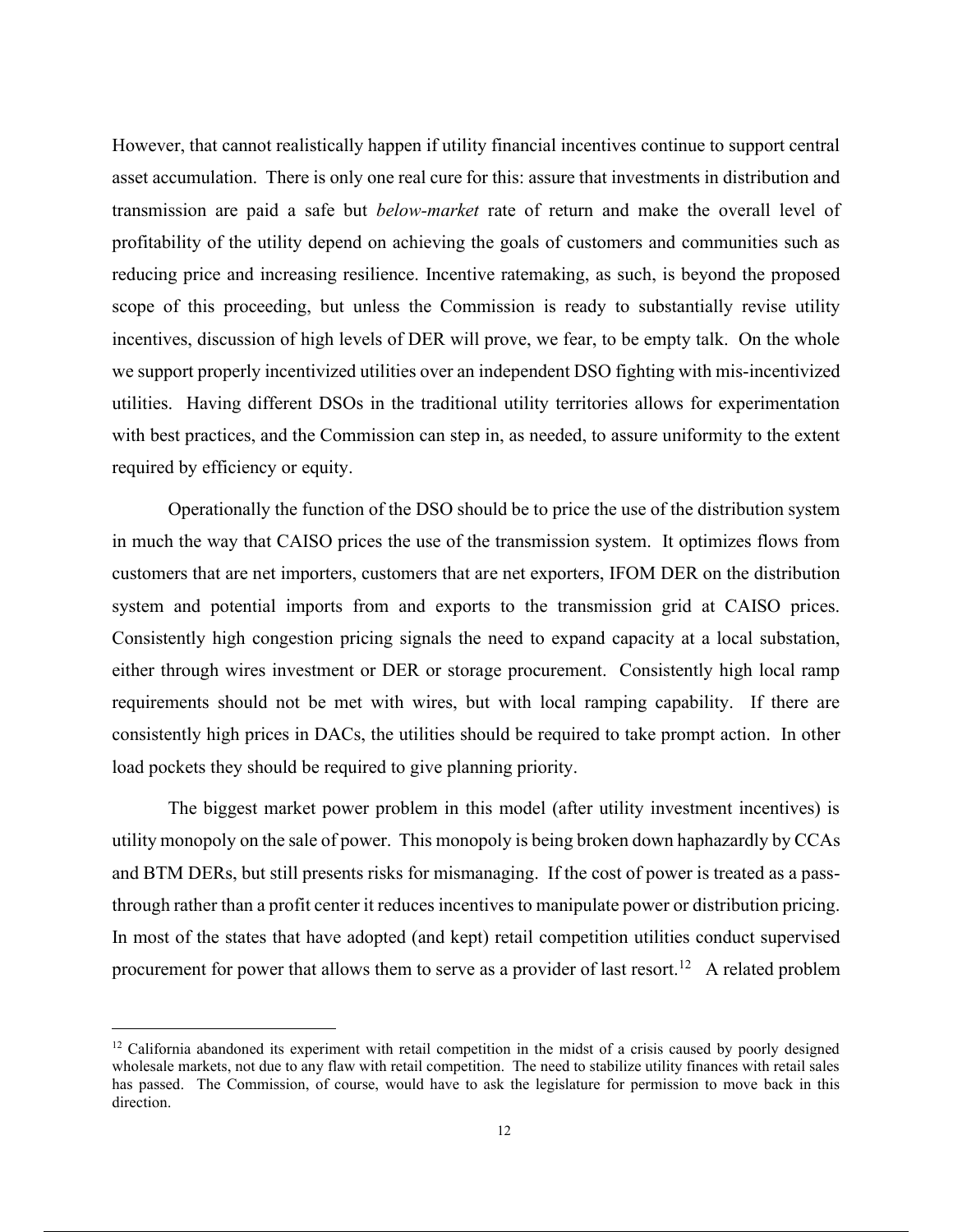However, that cannot realistically happen if utility financial incentives continue to support central asset accumulation. There is only one real cure for this: assure that investments in distribution and transmission are paid a safe but *below-market* rate of return and make the overall level of profitability of the utility depend on achieving the goals of customers and communities such as reducing price and increasing resilience. Incentive ratemaking, as such, is beyond the proposed scope of this proceeding, but unless the Commission is ready to substantially revise utility incentives, discussion of high levels of DER will prove, we fear, to be empty talk. On the whole we support properly incentivized utilities over an independent DSO fighting with mis-incentivized utilities. Having different DSOs in the traditional utility territories allows for experimentation with best practices, and the Commission can step in, as needed, to assure uniformity to the extent required by efficiency or equity.

Operationally the function of the DSO should be to price the use of the distribution system in much the way that CAISO prices the use of the transmission system. It optimizes flows from customers that are net importers, customers that are net exporters, IFOM DER on the distribution system and potential imports from and exports to the transmission grid at CAISO prices. Consistently high congestion pricing signals the need to expand capacity at a local substation, either through wires investment or DER or storage procurement. Consistently high local ramp requirements should not be met with wires, but with local ramping capability. If there are consistently high prices in DACs, the utilities should be required to take prompt action. In other load pockets they should be required to give planning priority.

The biggest market power problem in this model (after utility investment incentives) is utility monopoly on the sale of power. This monopoly is being broken down haphazardly by CCAs and BTM DERs, but still presents risks for mismanaging. If the cost of power is treated as a passthrough rather than a profit center it reduces incentives to manipulate power or distribution pricing. In most of the states that have adopted (and kept) retail competition utilities conduct supervised procurement for power that allows them to serve as a provider of last resort.<sup>12</sup> A related problem

 $12$  California abandoned its experiment with retail competition in the midst of a crisis caused by poorly designed wholesale markets, not due to any flaw with retail competition. The need to stabilize utility finances with retail sales has passed. The Commission, of course, would have to ask the legislature for permission to move back in this direction.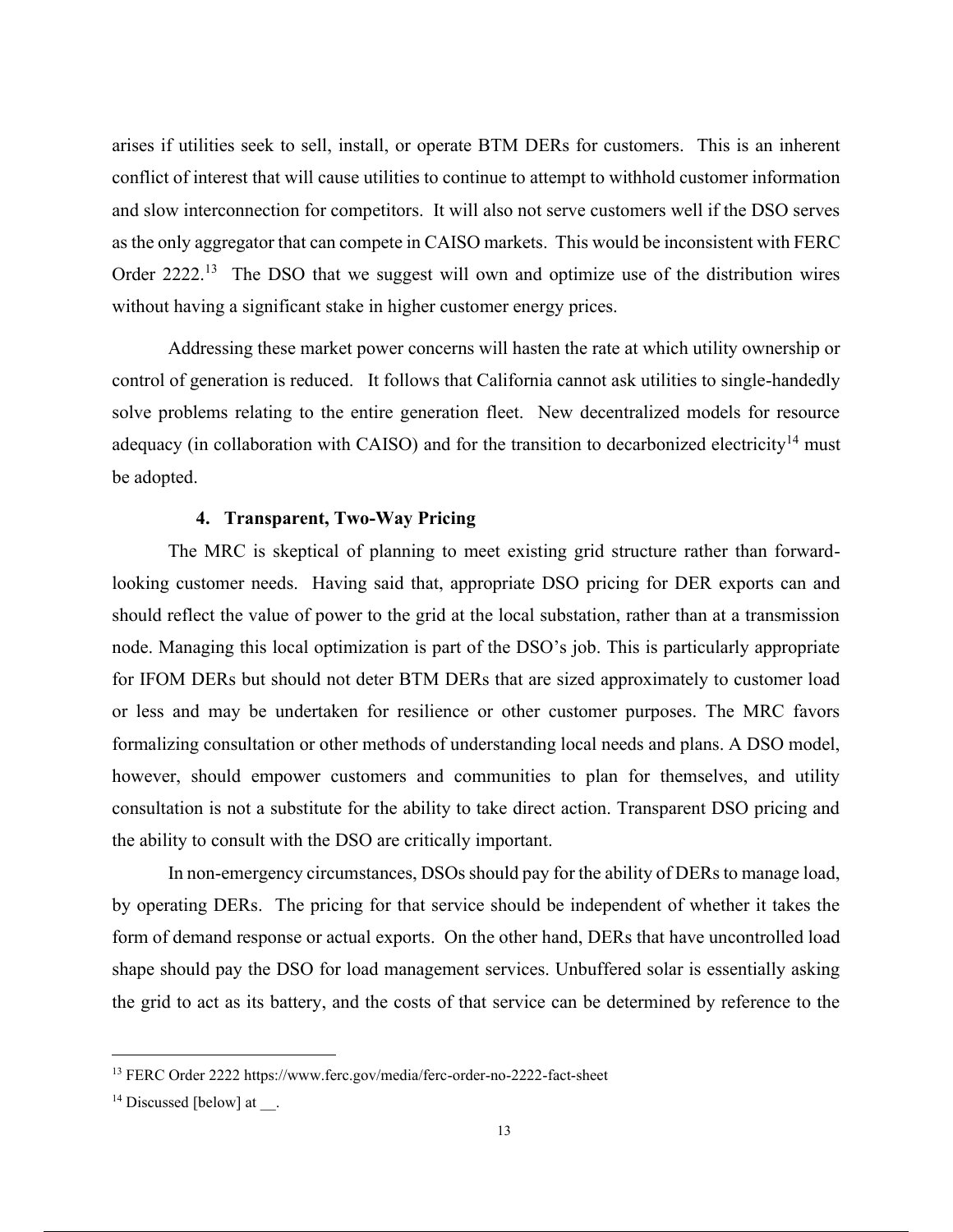arises if utilities seek to sell, install, or operate BTM DERs for customers. This is an inherent conflict of interest that will cause utilities to continue to attempt to withhold customer information and slow interconnection for competitors. It will also not serve customers well if the DSO serves as the only aggregator that can compete in CAISO markets. This would be inconsistent with FERC Order 2222.<sup>13</sup> The DSO that we suggest will own and optimize use of the distribution wires without having a significant stake in higher customer energy prices.

Addressing these market power concerns will hasten the rate at which utility ownership or control of generation is reduced. It follows that California cannot ask utilities to single-handedly solve problems relating to the entire generation fleet. New decentralized models for resource adequacy (in collaboration with CAISO) and for the transition to decarbonized electricity<sup>14</sup> must be adopted.

#### **4. Transparent, Two-Way Pricing**

The MRC is skeptical of planning to meet existing grid structure rather than forwardlooking customer needs. Having said that, appropriate DSO pricing for DER exports can and should reflect the value of power to the grid at the local substation, rather than at a transmission node. Managing this local optimization is part of the DSO's job. This is particularly appropriate for IFOM DERs but should not deter BTM DERs that are sized approximately to customer load or less and may be undertaken for resilience or other customer purposes. The MRC favors formalizing consultation or other methods of understanding local needs and plans. A DSO model, however, should empower customers and communities to plan for themselves, and utility consultation is not a substitute for the ability to take direct action. Transparent DSO pricing and the ability to consult with the DSO are critically important.

In non-emergency circumstances, DSOs should pay for the ability of DERs to manage load, by operating DERs. The pricing for that service should be independent of whether it takes the form of demand response or actual exports. On the other hand, DERs that have uncontrolled load shape should pay the DSO for load management services. Unbuffered solar is essentially asking the grid to act as its battery, and the costs of that service can be determined by reference to the

<sup>13</sup> FERC Order 2222 https://www.ferc.gov/media/ferc-order-no-2222-fact-sheet

 $14$  Discussed [below] at  $\;\;$ .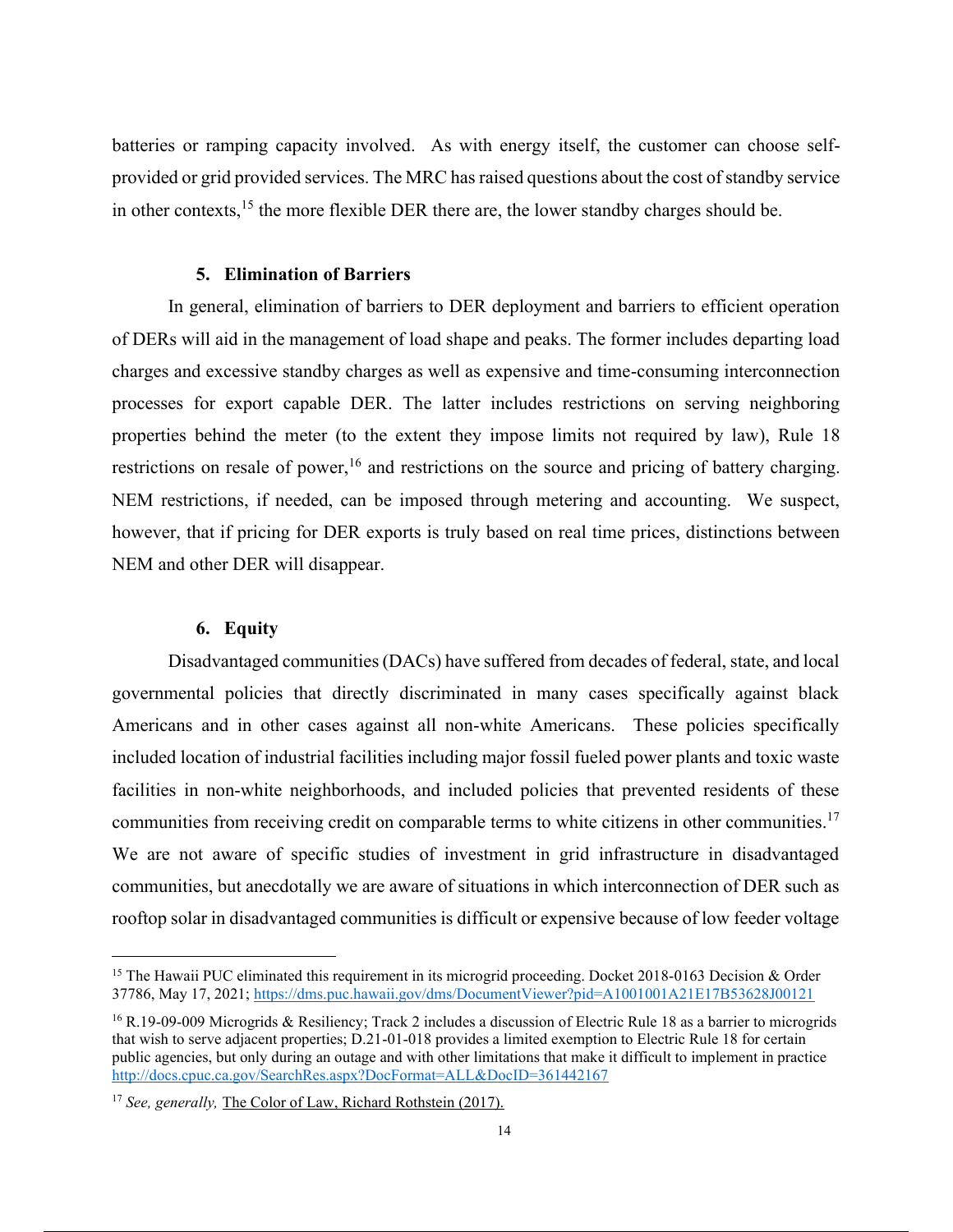batteries or ramping capacity involved. As with energy itself, the customer can choose selfprovided or grid provided services. The MRC has raised questions about the cost of standby service in other contexts, $^{15}$  the more flexible DER there are, the lower standby charges should be.

#### **5. Elimination of Barriers**

In general, elimination of barriers to DER deployment and barriers to efficient operation of DERs will aid in the management of load shape and peaks. The former includes departing load charges and excessive standby charges as well as expensive and time-consuming interconnection processes for export capable DER. The latter includes restrictions on serving neighboring properties behind the meter (to the extent they impose limits not required by law), Rule 18 restrictions on resale of power,  $16$  and restrictions on the source and pricing of battery charging. NEM restrictions, if needed, can be imposed through metering and accounting. We suspect, however, that if pricing for DER exports is truly based on real time prices, distinctions between NEM and other DER will disappear.

#### **6. Equity**

Disadvantaged communities (DACs) have suffered from decades of federal, state, and local governmental policies that directly discriminated in many cases specifically against black Americans and in other cases against all non-white Americans. These policies specifically included location of industrial facilities including major fossil fueled power plants and toxic waste facilities in non-white neighborhoods, and included policies that prevented residents of these communities from receiving credit on comparable terms to white citizens in other communities.<sup>17</sup> We are not aware of specific studies of investment in grid infrastructure in disadvantaged communities, but anecdotally we are aware of situations in which interconnection of DER such as rooftop solar in disadvantaged communities is difficult or expensive because of low feeder voltage

<sup>&</sup>lt;sup>15</sup> The Hawaii PUC eliminated this requirement in its microgrid proceeding. Docket 2018-0163 Decision & Order 37786, May 17, 2021; https://dms.puc.hawaii.gov/dms/DocumentViewer?pid=A1001001A21E17B53628J00121

 $16$  R.19-09-009 Microgrids & Resiliency; Track 2 includes a discussion of Electric Rule 18 as a barrier to microgrids that wish to serve adjacent properties; D.21-01-018 provides a limited exemption to Electric Rule 18 for certain public agencies, but only during an outage and with other limitations that make it difficult to implement in practice http://docs.cpuc.ca.gov/SearchRes.aspx?DocFormat=ALL&DocID=361442167

<sup>&</sup>lt;sup>17</sup> *See, generally, The Color of Law, Richard Rothstein (2017).*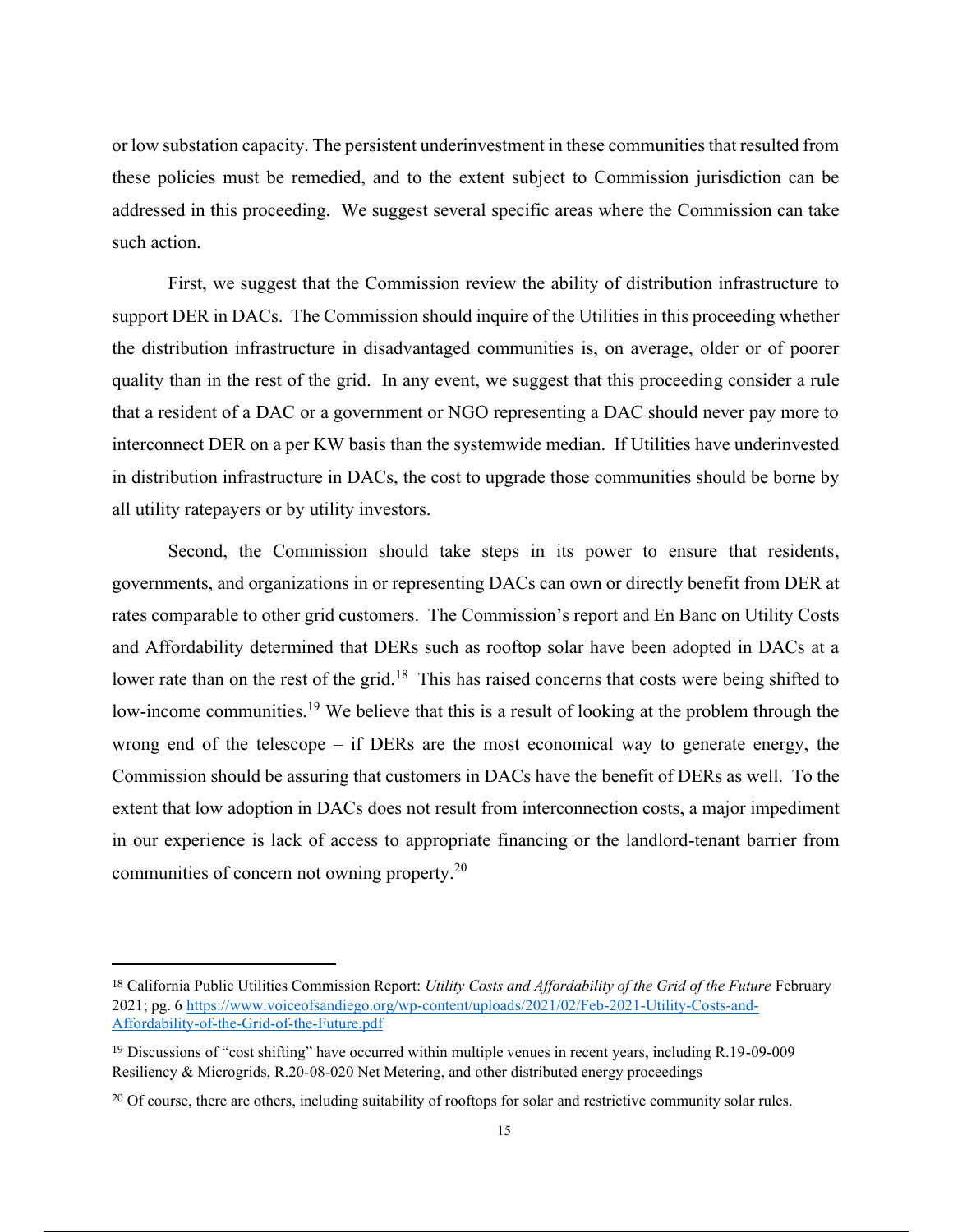or low substation capacity. The persistent underinvestment in these communities that resulted from these policies must be remedied, and to the extent subject to Commission jurisdiction can be addressed in this proceeding. We suggest several specific areas where the Commission can take such action.

First, we suggest that the Commission review the ability of distribution infrastructure to support DER in DACs. The Commission should inquire of the Utilities in this proceeding whether the distribution infrastructure in disadvantaged communities is, on average, older or of poorer quality than in the rest of the grid. In any event, we suggest that this proceeding consider a rule that a resident of a DAC or a government or NGO representing a DAC should never pay more to interconnect DER on a per KW basis than the systemwide median. If Utilities have underinvested in distribution infrastructure in DACs, the cost to upgrade those communities should be borne by all utility ratepayers or by utility investors.

Second, the Commission should take steps in its power to ensure that residents, governments, and organizations in or representing DACs can own or directly benefit from DER at rates comparable to other grid customers. The Commission's report and En Banc on Utility Costs and Affordability determined that DERs such as rooftop solar have been adopted in DACs at a lower rate than on the rest of the grid.<sup>18</sup> This has raised concerns that costs were being shifted to low-income communities.<sup>19</sup> We believe that this is a result of looking at the problem through the wrong end of the telescope – if DERs are the most economical way to generate energy, the Commission should be assuring that customers in DACs have the benefit of DERs as well. To the extent that low adoption in DACs does not result from interconnection costs, a major impediment in our experience is lack of access to appropriate financing or the landlord-tenant barrier from communities of concern not owning property.<sup>20</sup>

<sup>18</sup> California Public Utilities Commission Report: *Utility Costs and Affordability of the Grid of the Future* February 2021; pg. 6 https://www.voiceofsandiego.org/wp-content/uploads/2021/02/Feb-2021-Utility-Costs-and-Affordability-of-the-Grid-of-the-Future.pdf

<sup>19</sup> Discussions of "cost shifting" have occurred within multiple venues in recent years, including R.19-09-009 Resiliency & Microgrids, R.20-08-020 Net Metering, and other distributed energy proceedings

<sup>&</sup>lt;sup>20</sup> Of course, there are others, including suitability of rooftops for solar and restrictive community solar rules.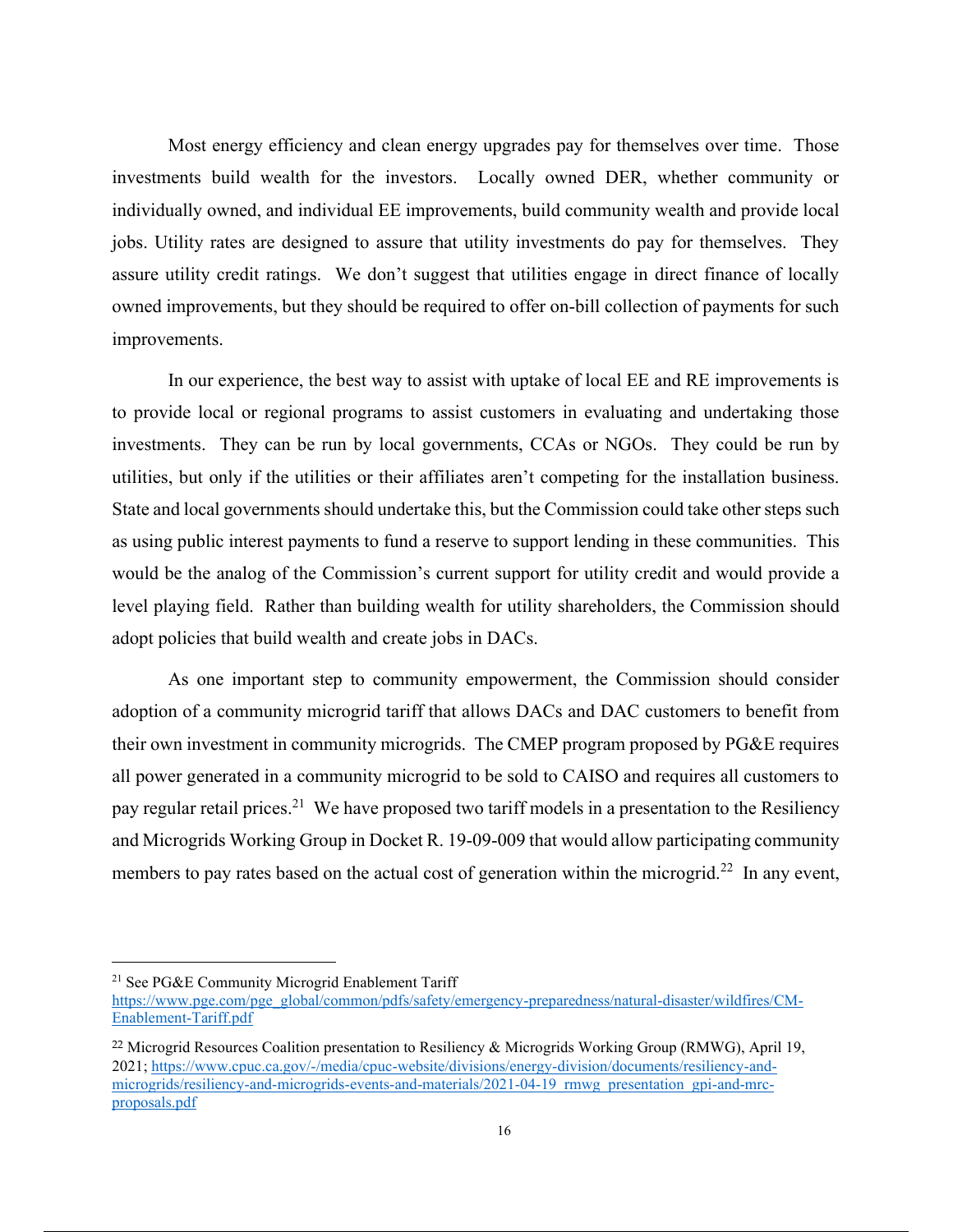Most energy efficiency and clean energy upgrades pay for themselves over time. Those investments build wealth for the investors. Locally owned DER, whether community or individually owned, and individual EE improvements, build community wealth and provide local jobs. Utility rates are designed to assure that utility investments do pay for themselves. They assure utility credit ratings. We don't suggest that utilities engage in direct finance of locally owned improvements, but they should be required to offer on-bill collection of payments for such improvements.

In our experience, the best way to assist with uptake of local EE and RE improvements is to provide local or regional programs to assist customers in evaluating and undertaking those investments. They can be run by local governments, CCAs or NGOs. They could be run by utilities, but only if the utilities or their affiliates aren't competing for the installation business. State and local governments should undertake this, but the Commission could take other steps such as using public interest payments to fund a reserve to support lending in these communities. This would be the analog of the Commission's current support for utility credit and would provide a level playing field. Rather than building wealth for utility shareholders, the Commission should adopt policies that build wealth and create jobs in DACs.

As one important step to community empowerment, the Commission should consider adoption of a community microgrid tariff that allows DACs and DAC customers to benefit from their own investment in community microgrids. The CMEP program proposed by PG&E requires all power generated in a community microgrid to be sold to CAISO and requires all customers to pay regular retail prices.<sup>21</sup> We have proposed two tariff models in a presentation to the Resiliency and Microgrids Working Group in Docket R. 19-09-009 that would allow participating community members to pay rates based on the actual cost of generation within the microgrid.<sup>22</sup> In any event,

<sup>&</sup>lt;sup>21</sup> See PG&E Community Microgrid Enablement Tariff

https://www.pge.com/pge\_global/common/pdfs/safety/emergency-preparedness/natural-disaster/wildfires/CM-Enablement-Tariff.pdf

<sup>22</sup> Microgrid Resources Coalition presentation to Resiliency & Microgrids Working Group (RMWG), April 19, 2021; https://www.cpuc.ca.gov/-/media/cpuc-website/divisions/energy-division/documents/resiliency-andmicrogrids/resiliency-and-microgrids-events-and-materials/2021-04-19 rmwg presentation gpi-and-mrcproposals.pdf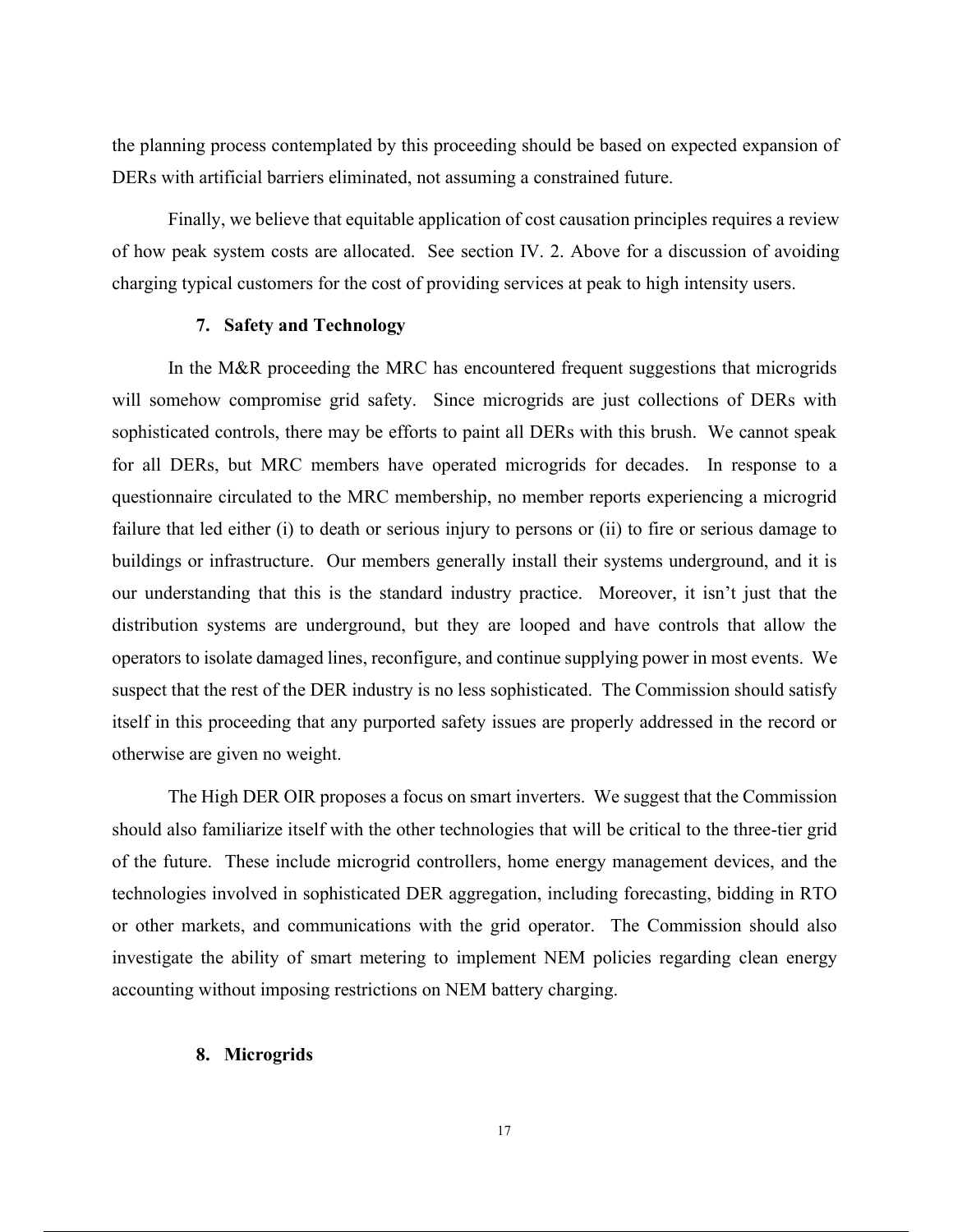the planning process contemplated by this proceeding should be based on expected expansion of DERs with artificial barriers eliminated, not assuming a constrained future.

Finally, we believe that equitable application of cost causation principles requires a review of how peak system costs are allocated. See section IV. 2. Above for a discussion of avoiding charging typical customers for the cost of providing services at peak to high intensity users.

#### **7. Safety and Technology**

In the M&R proceeding the MRC has encountered frequent suggestions that microgrids will somehow compromise grid safety. Since microgrids are just collections of DERs with sophisticated controls, there may be efforts to paint all DERs with this brush. We cannot speak for all DERs, but MRC members have operated microgrids for decades. In response to a questionnaire circulated to the MRC membership, no member reports experiencing a microgrid failure that led either (i) to death or serious injury to persons or (ii) to fire or serious damage to buildings or infrastructure. Our members generally install their systems underground, and it is our understanding that this is the standard industry practice. Moreover, it isn't just that the distribution systems are underground, but they are looped and have controls that allow the operators to isolate damaged lines, reconfigure, and continue supplying power in most events. We suspect that the rest of the DER industry is no less sophisticated. The Commission should satisfy itself in this proceeding that any purported safety issues are properly addressed in the record or otherwise are given no weight.

The High DER OIR proposes a focus on smart inverters. We suggest that the Commission should also familiarize itself with the other technologies that will be critical to the three-tier grid of the future. These include microgrid controllers, home energy management devices, and the technologies involved in sophisticated DER aggregation, including forecasting, bidding in RTO or other markets, and communications with the grid operator. The Commission should also investigate the ability of smart metering to implement NEM policies regarding clean energy accounting without imposing restrictions on NEM battery charging.

#### **8. Microgrids**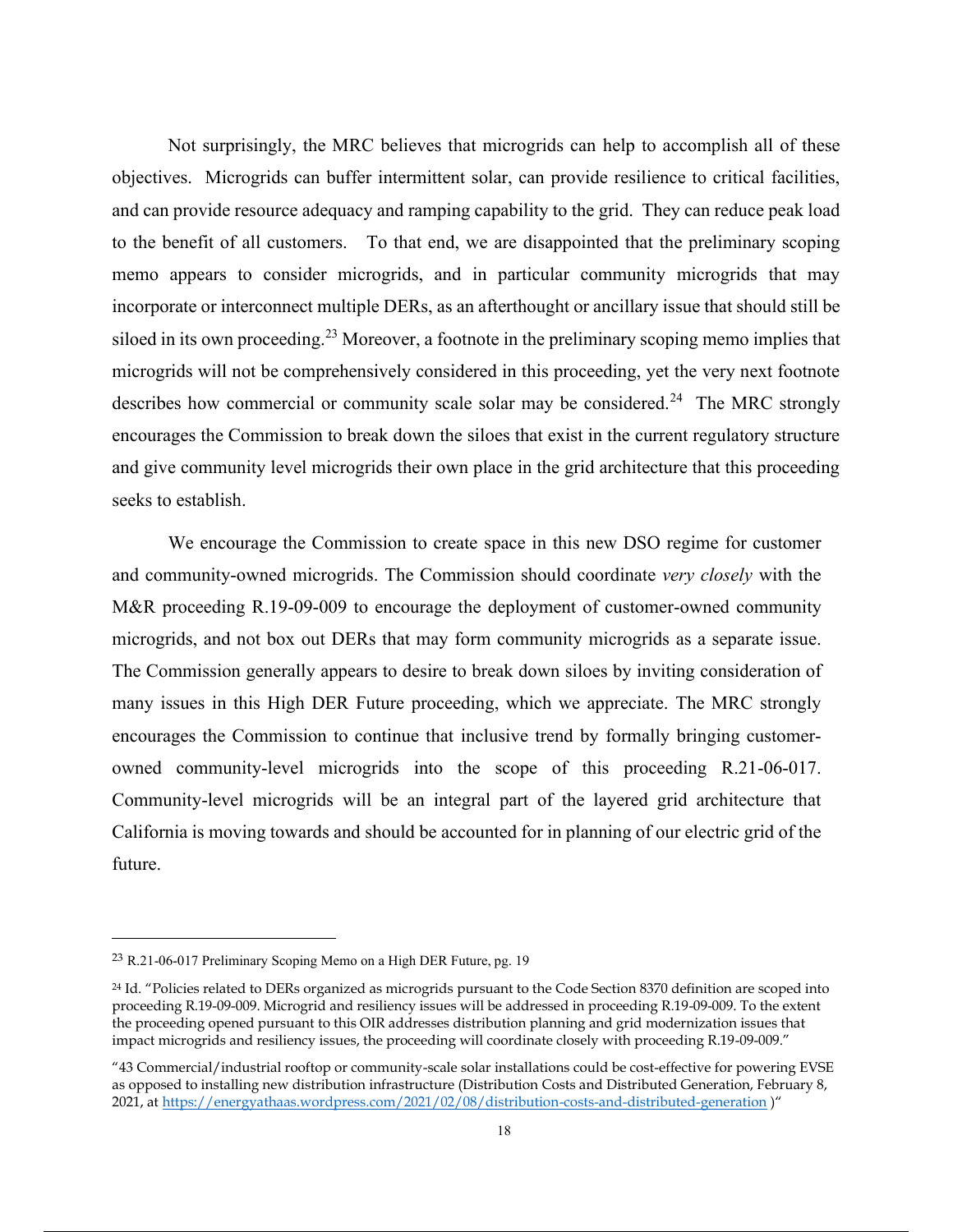Not surprisingly, the MRC believes that microgrids can help to accomplish all of these objectives. Microgrids can buffer intermittent solar, can provide resilience to critical facilities, and can provide resource adequacy and ramping capability to the grid. They can reduce peak load to the benefit of all customers. To that end, we are disappointed that the preliminary scoping memo appears to consider microgrids, and in particular community microgrids that may incorporate or interconnect multiple DERs, as an afterthought or ancillary issue that should still be siloed in its own proceeding.<sup>23</sup> Moreover, a footnote in the preliminary scoping memo implies that microgrids will not be comprehensively considered in this proceeding, yet the very next footnote describes how commercial or community scale solar may be considered.<sup>24</sup> The MRC strongly encourages the Commission to break down the siloes that exist in the current regulatory structure and give community level microgrids their own place in the grid architecture that this proceeding seeks to establish.

We encourage the Commission to create space in this new DSO regime for customer and community-owned microgrids. The Commission should coordinate *very closely* with the M&R proceeding R.19-09-009 to encourage the deployment of customer-owned community microgrids, and not box out DERs that may form community microgrids as a separate issue. The Commission generally appears to desire to break down siloes by inviting consideration of many issues in this High DER Future proceeding, which we appreciate. The MRC strongly encourages the Commission to continue that inclusive trend by formally bringing customerowned community-level microgrids into the scope of this proceeding R.21-06-017. Community-level microgrids will be an integral part of the layered grid architecture that California is moving towards and should be accounted for in planning of our electric grid of the future.

<sup>23</sup> R.21-06-017 Preliminary Scoping Memo on a High DER Future, pg. 19

<sup>24</sup> Id. "Policies related to DERs organized as microgrids pursuant to the Code Section 8370 definition are scoped into proceeding R.19-09-009. Microgrid and resiliency issues will be addressed in proceeding R.19-09-009. To the extent the proceeding opened pursuant to this OIR addresses distribution planning and grid modernization issues that impact microgrids and resiliency issues, the proceeding will coordinate closely with proceeding R.19-09-009."

<sup>&</sup>quot;43 Commercial/industrial rooftop or community-scale solar installations could be cost-effective for powering EVSE as opposed to installing new distribution infrastructure (Distribution Costs and Distributed Generation, February 8, 2021, at https://energyathaas.wordpress.com/2021/02/08/distribution-costs-and-distributed-generation )"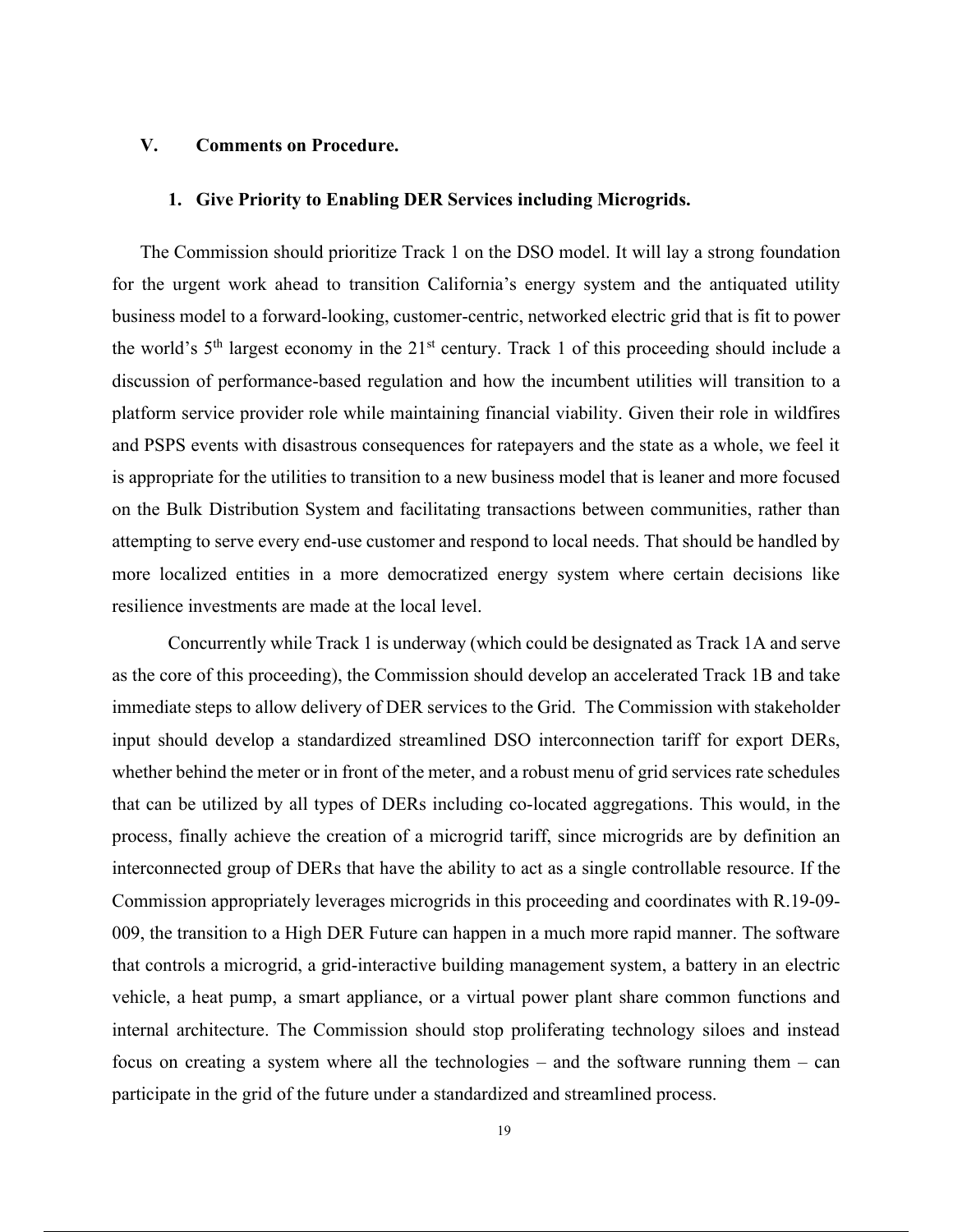### **V. Comments on Procedure.**

#### **1. Give Priority to Enabling DER Services including Microgrids.**

The Commission should prioritize Track 1 on the DSO model. It will lay a strong foundation for the urgent work ahead to transition California's energy system and the antiquated utility business model to a forward-looking, customer-centric, networked electric grid that is fit to power the world's  $5<sup>th</sup>$  largest economy in the  $21<sup>st</sup>$  century. Track 1 of this proceeding should include a discussion of performance-based regulation and how the incumbent utilities will transition to a platform service provider role while maintaining financial viability. Given their role in wildfires and PSPS events with disastrous consequences for ratepayers and the state as a whole, we feel it is appropriate for the utilities to transition to a new business model that is leaner and more focused on the Bulk Distribution System and facilitating transactions between communities, rather than attempting to serve every end-use customer and respond to local needs. That should be handled by more localized entities in a more democratized energy system where certain decisions like resilience investments are made at the local level.

Concurrently while Track 1 is underway (which could be designated as Track 1A and serve as the core of this proceeding), the Commission should develop an accelerated Track 1B and take immediate steps to allow delivery of DER services to the Grid. The Commission with stakeholder input should develop a standardized streamlined DSO interconnection tariff for export DERs, whether behind the meter or in front of the meter, and a robust menu of grid services rate schedules that can be utilized by all types of DERs including co-located aggregations. This would, in the process, finally achieve the creation of a microgrid tariff, since microgrids are by definition an interconnected group of DERs that have the ability to act as a single controllable resource. If the Commission appropriately leverages microgrids in this proceeding and coordinates with R.19-09- 009, the transition to a High DER Future can happen in a much more rapid manner. The software that controls a microgrid, a grid-interactive building management system, a battery in an electric vehicle, a heat pump, a smart appliance, or a virtual power plant share common functions and internal architecture. The Commission should stop proliferating technology siloes and instead focus on creating a system where all the technologies – and the software running them – can participate in the grid of the future under a standardized and streamlined process.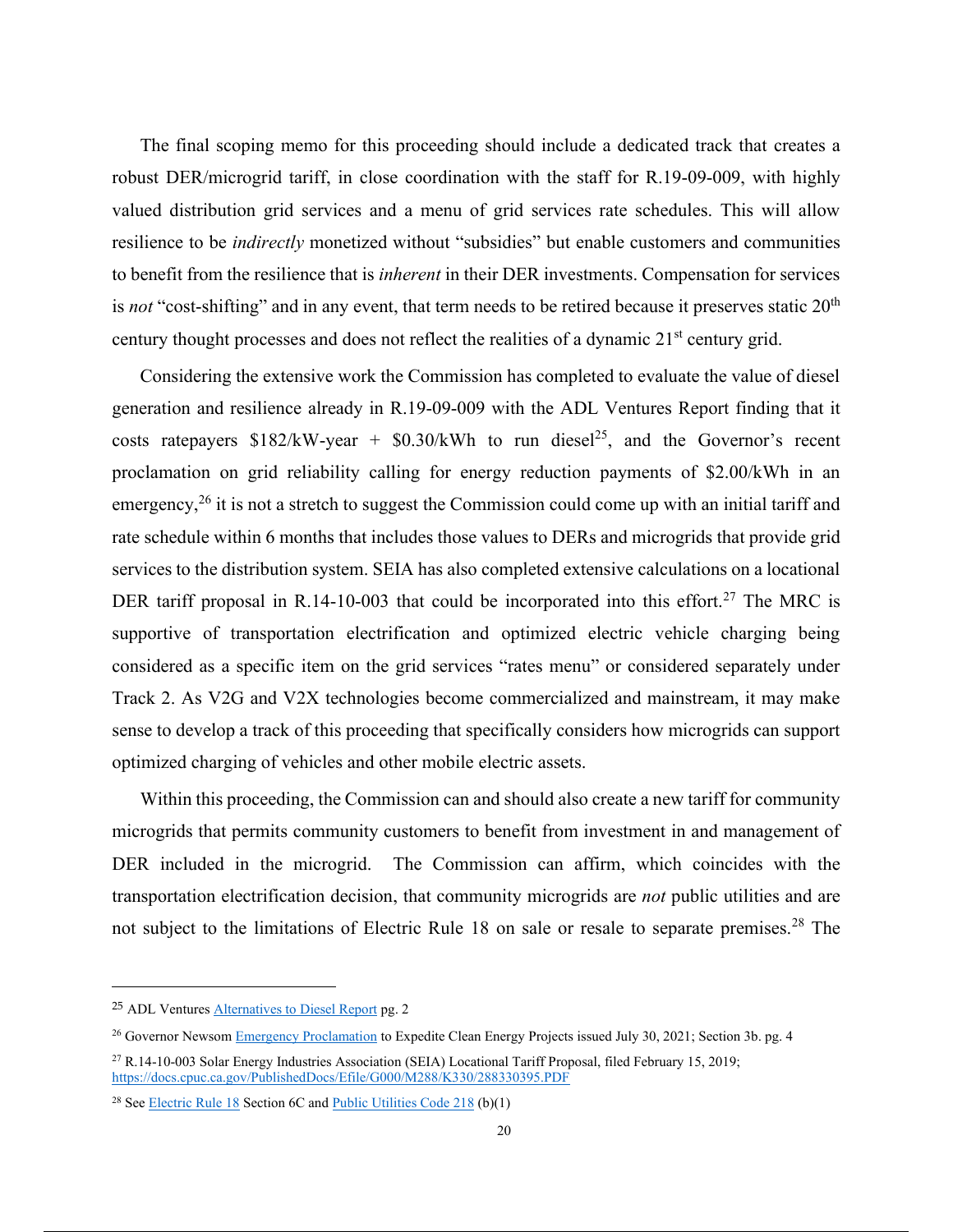The final scoping memo for this proceeding should include a dedicated track that creates a robust DER/microgrid tariff, in close coordination with the staff for R.19-09-009, with highly valued distribution grid services and a menu of grid services rate schedules. This will allow resilience to be *indirectly* monetized without "subsidies" but enable customers and communities to benefit from the resilience that is *inherent* in their DER investments. Compensation for services is *not* "cost-shifting" and in any event, that term needs to be retired because it preserves static 20<sup>th</sup> century thought processes and does not reflect the realities of a dynamic 21<sup>st</sup> century grid.

Considering the extensive work the Commission has completed to evaluate the value of diesel generation and resilience already in R.19-09-009 with the ADL Ventures Report finding that it costs ratepayers  $$182/kW-year + $0.30/kWh$  to run diesel<sup>25</sup>, and the Governor's recent proclamation on grid reliability calling for energy reduction payments of \$2.00/kWh in an emergency,  $26$  it is not a stretch to suggest the Commission could come up with an initial tariff and rate schedule within 6 months that includes those values to DERs and microgrids that provide grid services to the distribution system. SEIA has also completed extensive calculations on a locational DER tariff proposal in R.14-10-003 that could be incorporated into this effort.<sup>27</sup> The MRC is supportive of transportation electrification and optimized electric vehicle charging being considered as a specific item on the grid services "rates menu" or considered separately under Track 2. As V2G and V2X technologies become commercialized and mainstream, it may make sense to develop a track of this proceeding that specifically considers how microgrids can support optimized charging of vehicles and other mobile electric assets.

Within this proceeding, the Commission can and should also create a new tariff for community microgrids that permits community customers to benefit from investment in and management of DER included in the microgrid. The Commission can affirm, which coincides with the transportation electrification decision, that community microgrids are *not* public utilities and are not subject to the limitations of Electric Rule 18 on sale or resale to separate premises.<sup>28</sup> The

<sup>25</sup> ADL Ventures Alternatives to Diesel Report pg. 2

<sup>&</sup>lt;sup>26</sup> Governor Newsom Emergency Proclamation to Expedite Clean Energy Projects issued July 30, 2021; Section 3b. pg. 4

<sup>27</sup> R.14-10-003 Solar Energy Industries Association (SEIA) Locational Tariff Proposal, filed February 15, 2019; https://docs.cpuc.ca.gov/PublishedDocs/Efile/G000/M288/K330/288330395.PDF

<sup>&</sup>lt;sup>28</sup> See **Electric Rule 18** Section 6C and **Public Utilities Code 218** (b)(1)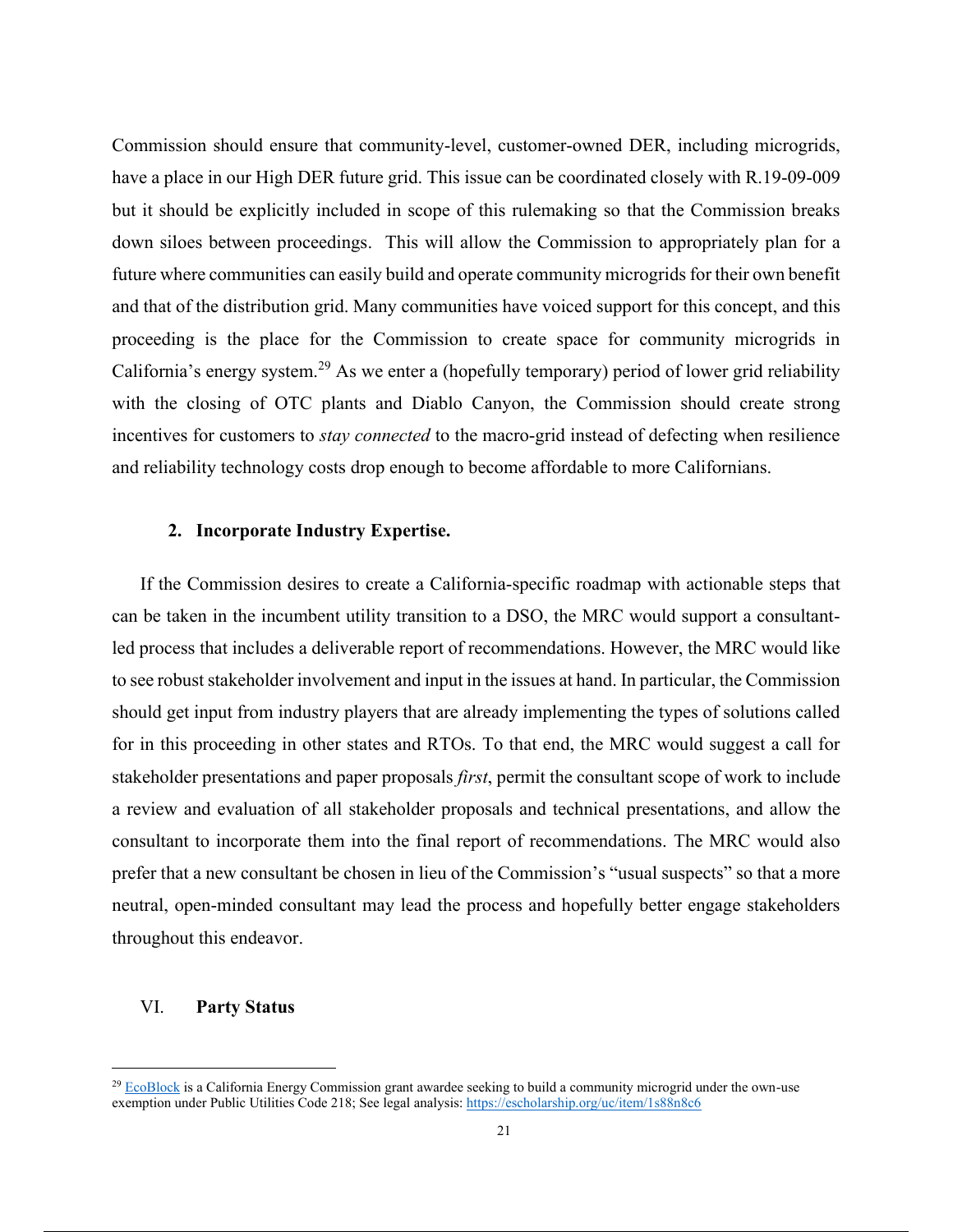Commission should ensure that community-level, customer-owned DER, including microgrids, have a place in our High DER future grid. This issue can be coordinated closely with R.19-09-009 but it should be explicitly included in scope of this rulemaking so that the Commission breaks down siloes between proceedings. This will allow the Commission to appropriately plan for a future where communities can easily build and operate community microgrids for their own benefit and that of the distribution grid. Many communities have voiced support for this concept, and this proceeding is the place for the Commission to create space for community microgrids in California's energy system.<sup>29</sup> As we enter a (hopefully temporary) period of lower grid reliability with the closing of OTC plants and Diablo Canyon, the Commission should create strong incentives for customers to *stay connected* to the macro-grid instead of defecting when resilience and reliability technology costs drop enough to become affordable to more Californians.

#### **2. Incorporate Industry Expertise.**

If the Commission desires to create a California-specific roadmap with actionable steps that can be taken in the incumbent utility transition to a DSO, the MRC would support a consultantled process that includes a deliverable report of recommendations. However, the MRC would like to see robust stakeholder involvement and input in the issues at hand. In particular, the Commission should get input from industry players that are already implementing the types of solutions called for in this proceeding in other states and RTOs. To that end, the MRC would suggest a call for stakeholder presentations and paper proposals *first*, permit the consultant scope of work to include a review and evaluation of all stakeholder proposals and technical presentations, and allow the consultant to incorporate them into the final report of recommendations. The MRC would also prefer that a new consultant be chosen in lieu of the Commission's "usual suspects" so that a more neutral, open-minded consultant may lead the process and hopefully better engage stakeholders throughout this endeavor.

#### VI. **Party Status**

 $29$  EcoBlock is a California Energy Commission grant awardee seeking to build a community microgrid under the own-use exemption under Public Utilities Code 218; See legal analysis: https://escholarship.org/uc/item/1s88n8c6